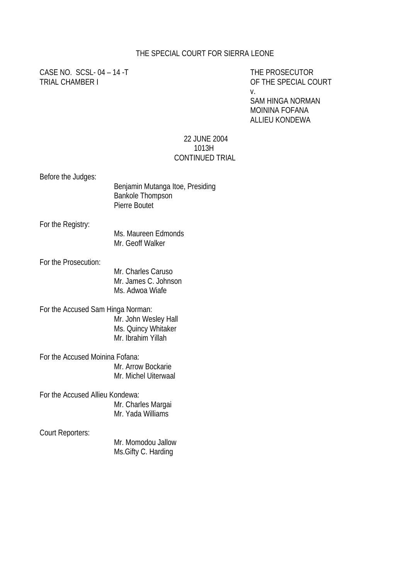### THE SPECIAL COURT FOR SIERRA LEONE

CASE NO. SCSL-04 – 14 -T THE PROSECUTOR TRIAL CHAMBER I OF THE SPECIAL COURT

v.

SAM HINGA NORMAN MOININA FOFANA ALLIEU KONDEWA

#### 22 JUNE 2004 1013H CONTINUED TRIAL

Before the Judges:

|                      | Benjamin Mutanga Itoe, Presiding<br><b>Bankole Thompson</b><br>Pierre Boutet |
|----------------------|------------------------------------------------------------------------------|
| For the Registry:    | Ms. Maureen Edmonds<br>Mr. Geoff Walker                                      |
| For the Prosecution: | Mr. Charles Caruso<br>Mr. James C. Johnson                                   |

Ms. Adwoa Wiafe

#### For the Accused Sam Hinga Norman: Mr. John Wesley Hall Ms. Quincy Whitaker Mr. Ibrahim Yillah

For the Accused Moinina Fofana: Mr. Arrow Bockarie Mr. Michel Uiterwaal

For the Accused Allieu Kondewa:

Mr. Charles Margai Mr. Yada Williams

Court Reporters:

Mr. Momodou Jallow Ms.Gifty C. Harding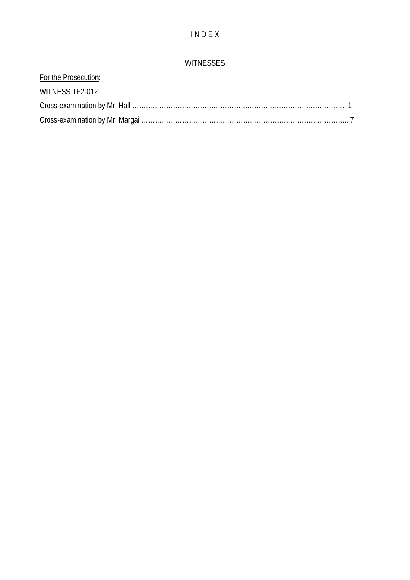# I N D E X

## WITNESSES

| For the Prosecution: |  |
|----------------------|--|
| WITNESS TF2-012      |  |
|                      |  |
|                      |  |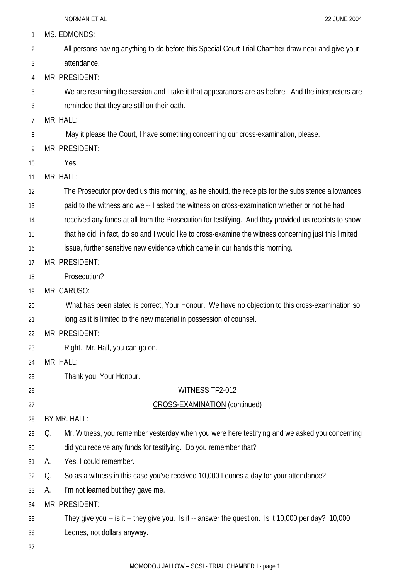| 1  | MS. EDMONDS:                                                                                           |
|----|--------------------------------------------------------------------------------------------------------|
| 2  | All persons having anything to do before this Special Court Trial Chamber draw near and give your      |
| 3  | attendance.                                                                                            |
| 4  | MR. PRESIDENT:                                                                                         |
| 5  | We are resuming the session and I take it that appearances are as before. And the interpreters are     |
| 6  | reminded that they are still on their oath.                                                            |
| 7  | MR. HALL:                                                                                              |
| 8  | May it please the Court, I have something concerning our cross-examination, please.                    |
| 9  | MR. PRESIDENT:                                                                                         |
| 10 | Yes.                                                                                                   |
| 11 | MR. HALL:                                                                                              |
| 12 | The Prosecutor provided us this morning, as he should, the receipts for the subsistence allowances     |
| 13 | paid to the witness and we -- I asked the witness on cross-examination whether or not he had           |
| 14 | received any funds at all from the Prosecution for testifying. And they provided us receipts to show   |
| 15 | that he did, in fact, do so and I would like to cross-examine the witness concerning just this limited |
| 16 | issue, further sensitive new evidence which came in our hands this morning.                            |
| 17 | MR. PRESIDENT:                                                                                         |
| 18 | Prosecution?                                                                                           |
| 19 | MR. CARUSO:                                                                                            |
| 20 | What has been stated is correct, Your Honour. We have no objection to this cross-examination so        |
| 21 | long as it is limited to the new material in possession of counsel.                                    |
| 22 | MR. PRESIDENT:                                                                                         |
| 23 | Right. Mr. Hall, you can go on.                                                                        |
| 24 | MR. HALL:                                                                                              |
| 25 | Thank you, Your Honour.                                                                                |
| 26 | WITNESS TF2-012                                                                                        |
| 27 | CROSS-EXAMINATION (continued)                                                                          |
| 28 | BY MR. HALL:                                                                                           |
| 29 | Mr. Witness, you remember yesterday when you were here testifying and we asked you concerning<br>Q.    |
| 30 | did you receive any funds for testifying. Do you remember that?                                        |
| 31 | Yes, I could remember.<br>А.                                                                           |
| 32 | So as a witness in this case you've received 10,000 Leones a day for your attendance?<br>Q.            |
| 33 | I'm not learned but they gave me.<br>А.                                                                |
| 34 | MR. PRESIDENT:                                                                                         |
| 35 | They give you -- is it -- they give you. Is it -- answer the question. Is it 10,000 per day? 10,000    |
| 36 | Leones, not dollars anyway.                                                                            |
| 37 |                                                                                                        |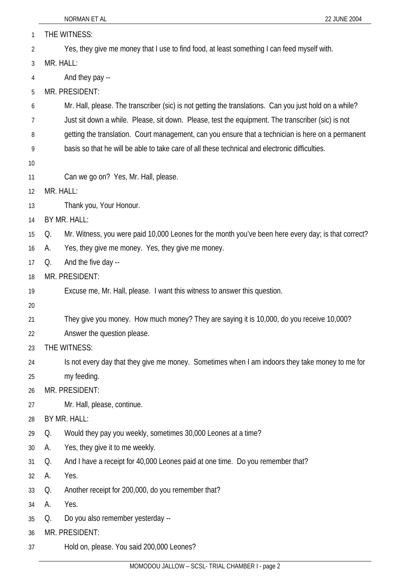| 1  | THE WITNESS:                                                                                              |
|----|-----------------------------------------------------------------------------------------------------------|
| 2  | Yes, they give me money that I use to find food, at least something I can feed myself with.               |
| 3  | MR. HALL:                                                                                                 |
| 4  | And they pay --                                                                                           |
| 5  | MR. PRESIDENT:                                                                                            |
| 6  | Mr. Hall, please. The transcriber (sic) is not getting the translations. Can you just hold on a while?    |
| 7  | Just sit down a while. Please, sit down. Please, test the equipment. The transcriber (sic) is not         |
| 8  | getting the translation. Court management, can you ensure that a technician is here on a permanent        |
| 9  | basis so that he will be able to take care of all these technical and electronic difficulties.            |
| 10 |                                                                                                           |
| 11 | Can we go on? Yes, Mr. Hall, please.                                                                      |
| 12 | MR. HALL:                                                                                                 |
| 13 | Thank you, Your Honour.                                                                                   |
| 14 | BY MR. HALL:                                                                                              |
| 15 | Mr. Witness, you were paid 10,000 Leones for the month you've been here every day; is that correct?<br>Q. |
| 16 | Yes, they give me money. Yes, they give me money.<br>А.                                                   |
| 17 | And the five day --<br>Q.                                                                                 |
| 18 | MR. PRESIDENT:                                                                                            |
| 19 | Excuse me, Mr. Hall, please. I want this witness to answer this question.                                 |
| 20 |                                                                                                           |
| 21 | They give you money. How much money? They are saying it is 10,000, do you receive 10,000?                 |
| 22 | Answer the question please.                                                                               |
| 23 | THE WITNESS:                                                                                              |
| 24 | Is not every day that they give me money. Sometimes when I am indoors they take money to me for           |
| 25 | my feeding.                                                                                               |
| 26 | MR. PRESIDENT:                                                                                            |
| 27 | Mr. Hall, please, continue.                                                                               |
| 28 | BY MR. HALL:                                                                                              |
| 29 | Would they pay you weekly, sometimes 30,000 Leones at a time?<br>Q.                                       |
| 30 | Yes, they give it to me weekly.<br>А.                                                                     |
| 31 | And I have a receipt for 40,000 Leones paid at one time. Do you remember that?<br>Q.                      |
| 32 | Yes.<br>А.                                                                                                |
| 33 | Another receipt for 200,000, do you remember that?<br>Q.                                                  |
| 34 | Yes.<br>А.                                                                                                |
| 35 | Do you also remember yesterday --<br>Q.                                                                   |
| 36 | MR. PRESIDENT:                                                                                            |
| 37 | Hold on, please. You said 200,000 Leones?                                                                 |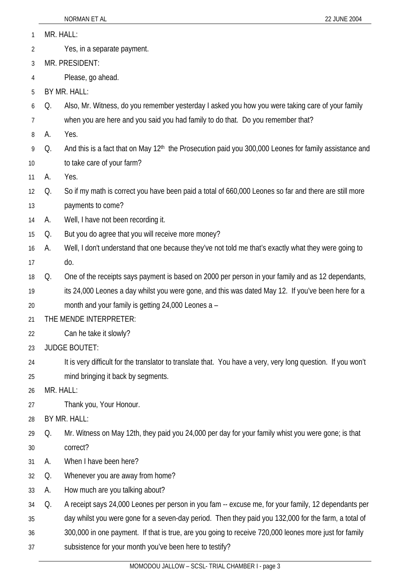|  |  | MR. HALL: |  |
|--|--|-----------|--|
|--|--|-----------|--|

- 2 Yes, in a separate payment.
- 3 MR. PRESIDENT:
- 4 Please, go ahead.
- 5 BY MR. HALL:
- 6 Q. Also, Mr. Witness, do you remember yesterday I asked you how you were taking care of your family
- 7 when you are here and you said you had family to do that. Do you remember that?
- 8 A. Yes.
- 9 10 Q. And this is a fact that on May 12<sup>th</sup> the Prosecution paid you 300,000 Leones for family assistance and to take care of your farm?
- 11 A. Yes.
- 12 13 Q. So if my math is correct you have been paid a total of 660,000 Leones so far and there are still more payments to come?
- 14 A. Well, I have not been recording it.
- 15 Q. But you do agree that you will receive more money?
- 16 17 A. Well, I don't understand that one because they've not told me that's exactly what they were going to do.
- 18 Q. One of the receipts says payment is based on 2000 per person in your family and as 12 dependants,
- 19 its 24,000 Leones a day whilst you were gone, and this was dated May 12. If you've been here for a
- 20 month and your family is getting 24,000 Leones a –
- 21 THE MENDE INTERPRETER:
- 22 Can he take it slowly?
- 23 JUDGE BOUTET:
- 24 25 It is very difficult for the translator to translate that. You have a very, very long question. If you won't mind bringing it back by segments.
- 26 MR. HALL:
- 27 Thank you, Your Honour.
- 28 BY MR. HALL:
- 29 30 Q. Mr. Witness on May 12th, they paid you 24,000 per day for your family whist you were gone; is that correct?
- 31 A. When I have been here?
- 32 Q. Whenever you are away from home?
- 33 A. How much are you talking about?
- 34 Q. A receipt says 24,000 Leones per person in you fam -- excuse me, for your family, 12 dependants per
- 35 day whilst you were gone for a seven-day period. Then they paid you 132,000 for the farm, a total of
- 36 300,000 in one payment. If that is true, are you going to receive 720,000 leones more just for family
- 37 subsistence for your month you've been here to testify?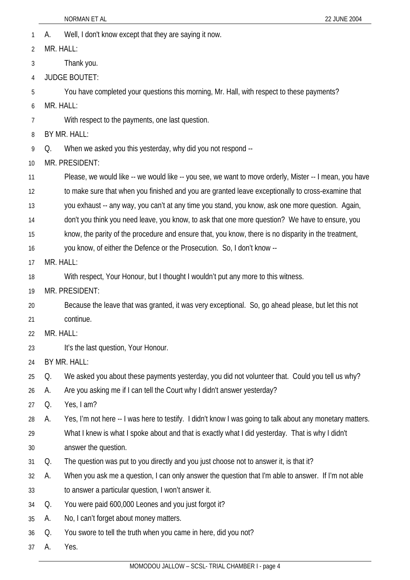- 1 A. Well, I don't know except that they are saying it now.
- 2 3 4 5 6 7 8 9 10 11 12 13 14 15 16 17 18 19 20 21 22 23 24 25 26 27 28 29 30 31 32 33 34 35 36 37 MR. HALL: Thank you. JUDGE BOUTET: You have completed your questions this morning, Mr. Hall, with respect to these payments? MR. HALL: With respect to the payments, one last question. BY MR. HALL: Q. When we asked you this yesterday, why did you not respond -- MR. PRESIDENT: Please, we would like -- we would like -- you see, we want to move orderly, Mister -- I mean, you have to make sure that when you finished and you are granted leave exceptionally to cross-examine that you exhaust -- any way, you can't at any time you stand, you know, ask one more question. Again, don't you think you need leave, you know, to ask that one more question? We have to ensure, you know, the parity of the procedure and ensure that, you know, there is no disparity in the treatment, you know, of either the Defence or the Prosecution. So, I don't know -- MR. HALL: With respect, Your Honour, but I thought I wouldn't put any more to this witness. MR. PRESIDENT: Because the leave that was granted, it was very exceptional. So, go ahead please, but let this not continue. MR. HALL: It's the last question, Your Honour. BY MR. HALL: Q. We asked you about these payments yesterday, you did not volunteer that. Could you tell us why? A. Are you asking me if I can tell the Court why I didn't answer yesterday? Q. Yes, I am? A. Yes, I'm not here -- I was here to testify. I didn't know I was going to talk about any monetary matters. What I knew is what I spoke about and that is exactly what I did yesterday. That is why I didn't answer the question. Q. The question was put to you directly and you just choose not to answer it, is that it? A. When you ask me a question, I can only answer the question that I'm able to answer. If I'm not able to answer a particular question, I won't answer it. Q. You were paid 600,000 Leones and you just forgot it? A. No, I can't forget about money matters. Q. You swore to tell the truth when you came in here, did you not? A. Yes.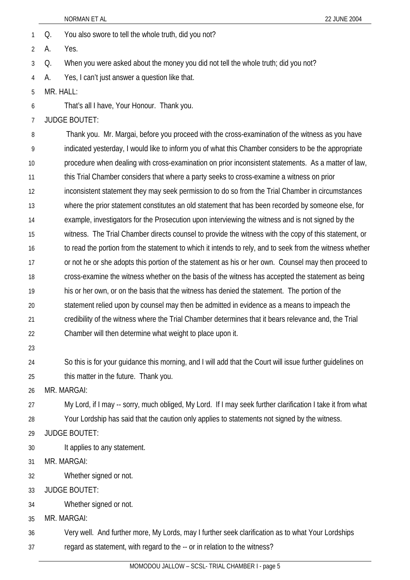- 1 Q. You also swore to tell the whole truth, did you not?
- 2 A. Yes.
- 3 Q. When you were asked about the money you did not tell the whole truth; did you not?
- 4 A. Yes, I can't just answer a question like that.
- 5 MR. HALL:
- 6 That's all I have, Your Honour. Thank you.

7 JUDGE BOUTET:

8 9 10 11 12 13 14 15 16 17 18 19 20 21 22 Thank you. Mr. Margai, before you proceed with the cross-examination of the witness as you have indicated yesterday, I would like to inform you of what this Chamber considers to be the appropriate procedure when dealing with cross-examination on prior inconsistent statements. As a matter of law, this Trial Chamber considers that where a party seeks to cross-examine a witness on prior inconsistent statement they may seek permission to do so from the Trial Chamber in circumstances where the prior statement constitutes an old statement that has been recorded by someone else, for example, investigators for the Prosecution upon interviewing the witness and is not signed by the witness. The Trial Chamber directs counsel to provide the witness with the copy of this statement, or to read the portion from the statement to which it intends to rely, and to seek from the witness whether or not he or she adopts this portion of the statement as his or her own. Counsel may then proceed to cross-examine the witness whether on the basis of the witness has accepted the statement as being his or her own, or on the basis that the witness has denied the statement. The portion of the statement relied upon by counsel may then be admitted in evidence as a means to impeach the credibility of the witness where the Trial Chamber determines that it bears relevance and, the Trial Chamber will then determine what weight to place upon it.

23

24 25 So this is for your guidance this morning, and I will add that the Court will issue further guidelines on this matter in the future. Thank you.

26 MR. MARGAI:

- 27 28 My Lord, if I may -- sorry, much obliged, My Lord. If I may seek further clarification I take it from what Your Lordship has said that the caution only applies to statements not signed by the witness.
- 29 JUDGE BOUTET:
- 30 It applies to any statement.
- 31 MR. MARGAI:
- 32 Whether signed or not.
- 33 JUDGE BOUTET:
- 34 Whether signed or not.
- 35 MR. MARGAI:

36 Very well. And further more, My Lords, may I further seek clarification as to what Your Lordships

37 regard as statement, with regard to the -- or in relation to the witness?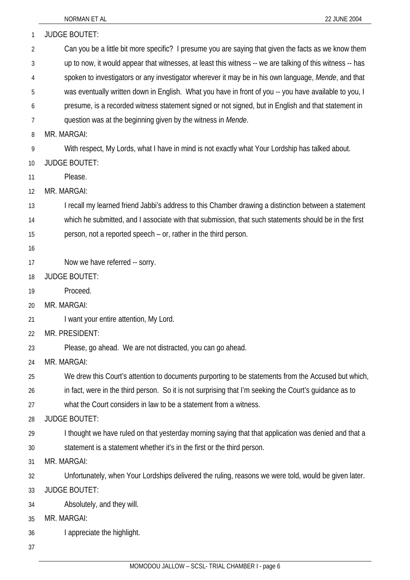| 1  | <b>JUDGE BOUTET:</b>                                                                                      |
|----|-----------------------------------------------------------------------------------------------------------|
| 2  | Can you be a little bit more specific? I presume you are saying that given the facts as we know them      |
| 3  | up to now, it would appear that witnesses, at least this witness -- we are talking of this witness -- has |
| 4  | spoken to investigators or any investigator wherever it may be in his own language, Mende, and that       |
| 5  | was eventually written down in English. What you have in front of you -- you have available to you, I     |
| 6  | presume, is a recorded witness statement signed or not signed, but in English and that statement in       |
| 7  | question was at the beginning given by the witness in Mende.                                              |
| 8  | MR. MARGAI:                                                                                               |
| 9  | With respect, My Lords, what I have in mind is not exactly what Your Lordship has talked about.           |
| 10 | <b>JUDGE BOUTET:</b>                                                                                      |
| 11 | Please.                                                                                                   |
| 12 | MR. MARGAI:                                                                                               |
| 13 | I recall my learned friend Jabbi's address to this Chamber drawing a distinction between a statement      |
| 14 | which he submitted, and I associate with that submission, that such statements should be in the first     |
| 15 | person, not a reported speech – or, rather in the third person.                                           |
| 16 |                                                                                                           |
| 17 | Now we have referred -- sorry.                                                                            |
| 18 | <b>JUDGE BOUTET:</b>                                                                                      |
| 19 | Proceed.                                                                                                  |
| 20 | MR. MARGAI:                                                                                               |
| 21 | I want your entire attention, My Lord.                                                                    |
| 22 | MR. PRESIDENT:                                                                                            |
| 23 | Please, go ahead. We are not distracted, you can go ahead.                                                |
| 24 | MR. MARGAI:                                                                                               |
| 25 | We drew this Court's attention to documents purporting to be statements from the Accused but which,       |
| 26 | in fact, were in the third person. So it is not surprising that I'm seeking the Court's guidance as to    |
| 27 | what the Court considers in law to be a statement from a witness.                                         |
| 28 | <b>JUDGE BOUTET:</b>                                                                                      |
| 29 | I thought we have ruled on that yesterday morning saying that that application was denied and that a      |
| 30 | statement is a statement whether it's in the first or the third person.                                   |
| 31 | MR. MARGAI:                                                                                               |
| 32 | Unfortunately, when Your Lordships delivered the ruling, reasons we were told, would be given later.      |
| 33 | <b>JUDGE BOUTET:</b>                                                                                      |
| 34 | Absolutely, and they will.                                                                                |
| 35 | MR. MARGAI:                                                                                               |
| 36 | I appreciate the highlight.                                                                               |

37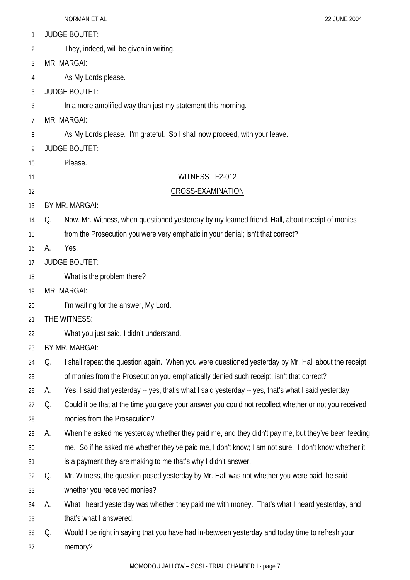| 1  |    | <b>JUDGE BOUTET:</b>                                                                                  |
|----|----|-------------------------------------------------------------------------------------------------------|
| 2  |    | They, indeed, will be given in writing.                                                               |
| 3  |    | MR. MARGAI:                                                                                           |
| 4  |    | As My Lords please.                                                                                   |
| 5  |    | <b>JUDGE BOUTET:</b>                                                                                  |
| 6  |    | In a more amplified way than just my statement this morning.                                          |
| 7  |    | MR. MARGAI:                                                                                           |
| 8  |    | As My Lords please. I'm grateful. So I shall now proceed, with your leave.                            |
| 9  |    | <b>JUDGE BOUTET:</b>                                                                                  |
| 10 |    | Please.                                                                                               |
| 11 |    | WITNESS TF2-012                                                                                       |
| 12 |    | <b>CROSS-EXAMINATION</b>                                                                              |
| 13 |    | BY MR. MARGAI:                                                                                        |
| 14 | Q. | Now, Mr. Witness, when questioned yesterday by my learned friend, Hall, about receipt of monies       |
| 15 |    | from the Prosecution you were very emphatic in your denial; isn't that correct?                       |
| 16 | А. | Yes.                                                                                                  |
| 17 |    | <b>JUDGE BOUTET:</b>                                                                                  |
| 18 |    | What is the problem there?                                                                            |
| 19 |    | MR. MARGAI:                                                                                           |
| 20 |    | I'm waiting for the answer, My Lord.                                                                  |
| 21 |    | THE WITNESS:                                                                                          |
| 22 |    | What you just said, I didn't understand.                                                              |
| 23 |    | BY MR. MARGAI:                                                                                        |
| 24 | Q. | I shall repeat the question again. When you were questioned yesterday by Mr. Hall about the receipt   |
| 25 |    | of monies from the Prosecution you emphatically denied such receipt; isn't that correct?              |
| 26 | А. | Yes, I said that yesterday -- yes, that's what I said yesterday -- yes, that's what I said yesterday. |
| 27 | Q. | Could it be that at the time you gave your answer you could not recollect whether or not you received |
| 28 |    | monies from the Prosecution?                                                                          |
| 29 | А. | When he asked me yesterday whether they paid me, and they didn't pay me, but they've been feeding     |
| 30 |    | me. So if he asked me whether they've paid me, I don't know; I am not sure. I don't know whether it   |
| 31 |    | is a payment they are making to me that's why I didn't answer.                                        |
| 32 | Q. | Mr. Witness, the question posed yesterday by Mr. Hall was not whether you were paid, he said          |
| 33 |    | whether you received monies?                                                                          |
| 34 | А. | What I heard yesterday was whether they paid me with money. That's what I heard yesterday, and        |
| 35 |    | that's what I answered.                                                                               |
| 36 | Q. | Would I be right in saying that you have had in-between yesterday and today time to refresh your      |
| 37 |    | memory?                                                                                               |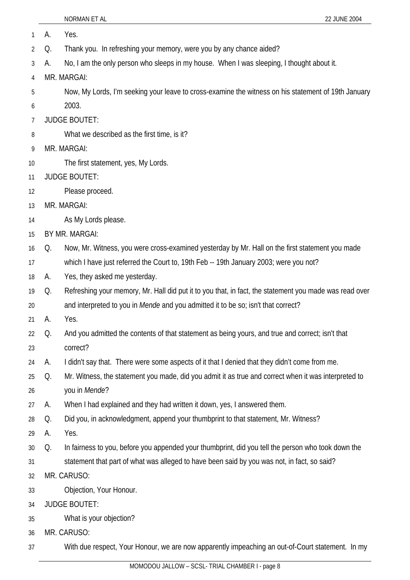| 1  | А. | Yes.                                                                                                   |
|----|----|--------------------------------------------------------------------------------------------------------|
| 2  | Q. | Thank you. In refreshing your memory, were you by any chance aided?                                    |
| 3  | А. | No, I am the only person who sleeps in my house. When I was sleeping, I thought about it.              |
| 4  |    | MR. MARGAI:                                                                                            |
| 5  |    | Now, My Lords, I'm seeking your leave to cross-examine the witness on his statement of 19th January    |
| 6  |    | 2003.                                                                                                  |
| 7  |    | <b>JUDGE BOUTET:</b>                                                                                   |
| 8  |    | What we described as the first time, is it?                                                            |
| 9  |    | MR. MARGAI:                                                                                            |
| 10 |    | The first statement, yes, My Lords.                                                                    |
| 11 |    | <b>JUDGE BOUTET:</b>                                                                                   |
| 12 |    | Please proceed.                                                                                        |
| 13 |    | MR. MARGAI:                                                                                            |
| 14 |    | As My Lords please.                                                                                    |
| 15 |    | BY MR. MARGAI:                                                                                         |
| 16 | Q. | Now, Mr. Witness, you were cross-examined yesterday by Mr. Hall on the first statement you made        |
| 17 |    | which I have just referred the Court to, 19th Feb -- 19th January 2003; were you not?                  |
| 18 | A. | Yes, they asked me yesterday.                                                                          |
| 19 | Q. | Refreshing your memory, Mr. Hall did put it to you that, in fact, the statement you made was read over |
| 20 |    | and interpreted to you in Mende and you admitted it to be so; isn't that correct?                      |
| 21 | А. | Yes.                                                                                                   |
| 22 | Q. | And you admitted the contents of that statement as being yours, and true and correct; isn't that       |
| 23 |    | correct?                                                                                               |
| 24 | А. | I didn't say that. There were some aspects of it that I denied that they didn't come from me.          |
| 25 | Q. | Mr. Witness, the statement you made, did you admit it as true and correct when it was interpreted to   |
| 26 |    | you in Mende?                                                                                          |
| 27 | А. | When I had explained and they had written it down, yes, I answered them.                               |
| 28 | Q. | Did you, in acknowledgment, append your thumbprint to that statement, Mr. Witness?                     |
| 29 | А. | Yes.                                                                                                   |
| 30 | Q. | In fairness to you, before you appended your thumbprint, did you tell the person who took down the     |
| 31 |    | statement that part of what was alleged to have been said by you was not, in fact, so said?            |
| 32 |    | MR. CARUSO:                                                                                            |
| 33 |    | Objection, Your Honour.                                                                                |
| 34 |    | <b>JUDGE BOUTET:</b>                                                                                   |
| 35 |    | What is your objection?                                                                                |
| 36 |    | MR. CARUSO:                                                                                            |
| 37 |    | With due respect, Your Honour, we are now apparently impeaching an out-of-Court statement. In my       |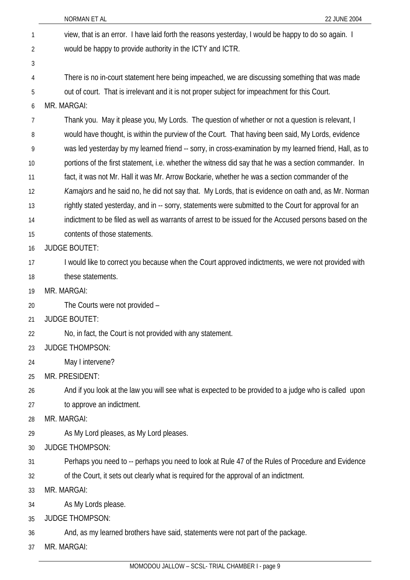| 1  | view, that is an error. I have laid forth the reasons yesterday, I would be happy to do so again. I     |
|----|---------------------------------------------------------------------------------------------------------|
| 2  | would be happy to provide authority in the ICTY and ICTR.                                               |
| 3  |                                                                                                         |
| 4  | There is no in-court statement here being impeached, we are discussing something that was made          |
| 5  | out of court. That is irrelevant and it is not proper subject for impeachment for this Court.           |
| 6  | MR. MARGAI:                                                                                             |
| 7  | Thank you. May it please you, My Lords. The question of whether or not a question is relevant, I        |
| 8  | would have thought, is within the purview of the Court. That having been said, My Lords, evidence       |
| 9  | was led yesterday by my learned friend -- sorry, in cross-examination by my learned friend, Hall, as to |
| 10 | portions of the first statement, i.e. whether the witness did say that he was a section commander. In   |
| 11 | fact, it was not Mr. Hall it was Mr. Arrow Bockarie, whether he was a section commander of the          |
| 12 | Kamajors and he said no, he did not say that. My Lords, that is evidence on oath and, as Mr. Norman     |
| 13 | rightly stated yesterday, and in -- sorry, statements were submitted to the Court for approval for an   |
| 14 | indictment to be filed as well as warrants of arrest to be issued for the Accused persons based on the  |
| 15 | contents of those statements.                                                                           |
| 16 | <b>JUDGE BOUTET:</b>                                                                                    |
| 17 | I would like to correct you because when the Court approved indictments, we were not provided with      |
| 18 | these statements.                                                                                       |
| 19 | MR. MARGAI:                                                                                             |
| 20 | The Courts were not provided -                                                                          |
| 21 | <b>JUDGE BOUTET:</b>                                                                                    |
| 22 | No, in fact, the Court is not provided with any statement.                                              |
| 23 | <b>JUDGE THOMPSON:</b>                                                                                  |
| 24 | May I intervene?                                                                                        |
| 25 | MR. PRESIDENT:                                                                                          |
| 26 | And if you look at the law you will see what is expected to be provided to a judge who is called upon   |
| 27 | to approve an indictment.                                                                               |
| 28 | MR. MARGAI:                                                                                             |
| 29 | As My Lord pleases, as My Lord pleases.                                                                 |
| 30 | <b>JUDGE THOMPSON:</b>                                                                                  |
| 31 | Perhaps you need to -- perhaps you need to look at Rule 47 of the Rules of Procedure and Evidence       |
| 32 | of the Court, it sets out clearly what is required for the approval of an indictment.                   |
| 33 | MR. MARGAI:                                                                                             |
| 34 | As My Lords please.                                                                                     |
| 35 | <b>JUDGE THOMPSON:</b>                                                                                  |
| 36 | And, as my learned brothers have said, statements were not part of the package.                         |
| 37 | MR. MARGAI:                                                                                             |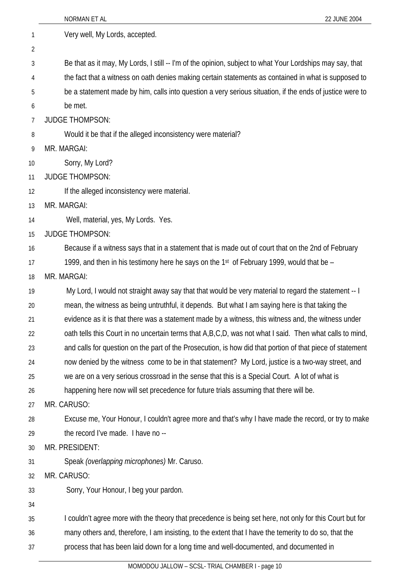|    | <b>NORMAN ET AL</b><br>22 JUNE 2004                                                                       |
|----|-----------------------------------------------------------------------------------------------------------|
| 1  | Very well, My Lords, accepted.                                                                            |
| 2  |                                                                                                           |
| 3  | Be that as it may, My Lords, I still -- I'm of the opinion, subject to what Your Lordships may say, that  |
| 4  | the fact that a witness on oath denies making certain statements as contained in what is supposed to      |
| 5  | be a statement made by him, calls into question a very serious situation, if the ends of justice were to  |
| 6  | be met.                                                                                                   |
| 7  | <b>JUDGE THOMPSON:</b>                                                                                    |
| 8  | Would it be that if the alleged inconsistency were material?                                              |
| 9  | MR. MARGAI:                                                                                               |
| 10 | Sorry, My Lord?                                                                                           |
| 11 | <b>JUDGE THOMPSON:</b>                                                                                    |
| 12 | If the alleged inconsistency were material.                                                               |
| 13 | MR. MARGAI:                                                                                               |
| 14 | Well, material, yes, My Lords. Yes.                                                                       |
| 15 | <b>JUDGE THOMPSON:</b>                                                                                    |
| 16 | Because if a witness says that in a statement that is made out of court that on the 2nd of February       |
| 17 | 1999, and then in his testimony here he says on the 1st of February 1999, would that be $-$               |
| 18 | MR. MARGAI:                                                                                               |
| 19 | My Lord, I would not straight away say that that would be very material to regard the statement -- I      |
| 20 | mean, the witness as being untruthful, it depends. But what I am saying here is that taking the           |
| 21 | evidence as it is that there was a statement made by a witness, this witness and, the witness under       |
| 22 | oath tells this Court in no uncertain terms that A,B,C,D, was not what I said. Then what calls to mind,   |
| 23 | and calls for question on the part of the Prosecution, is how did that portion of that piece of statement |
| 24 | now denied by the witness come to be in that statement? My Lord, justice is a two-way street, and         |
| 25 | we are on a very serious crossroad in the sense that this is a Special Court. A lot of what is            |
| 26 | happening here now will set precedence for future trials assuming that there will be.                     |
| 27 | MR. CARUSO:                                                                                               |
| 28 | Excuse me, Your Honour, I couldn't agree more and that's why I have made the record, or try to make       |
| 29 | the record I've made. I have no --                                                                        |
| 30 | MR. PRESIDENT:                                                                                            |
| 31 | Speak (overlapping microphones) Mr. Caruso.                                                               |
| 32 | MR. CARUSO:                                                                                               |
| 33 | Sorry, Your Honour, I beg your pardon.                                                                    |
| 34 |                                                                                                           |
| 35 | I couldn't agree more with the theory that precedence is being set here, not only for this Court but for  |
| 36 | many others and, therefore, I am insisting, to the extent that I have the temerity to do so, that the     |
| 37 | process that has been laid down for a long time and well-documented, and documented in                    |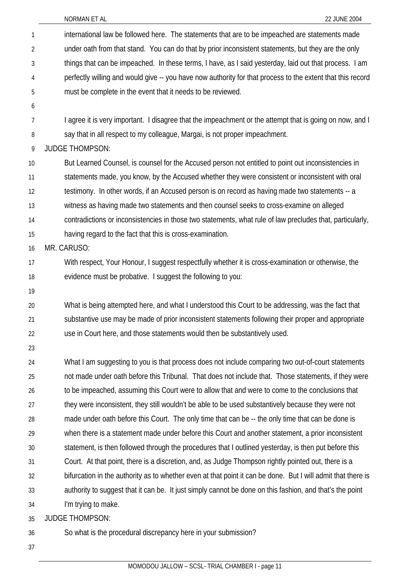| $\mathbf{1}$    | international law be followed here. The statements that are to be impeached are statements made              |
|-----------------|--------------------------------------------------------------------------------------------------------------|
| $\overline{2}$  | under oath from that stand. You can do that by prior inconsistent statements, but they are the only          |
| 3               | things that can be impeached. In these terms, I have, as I said yesterday, laid out that process. I am       |
| 4               | perfectly willing and would give -- you have now authority for that process to the extent that this record   |
| 5               | must be complete in the event that it needs to be reviewed.                                                  |
| 6               |                                                                                                              |
| $\overline{7}$  | I agree it is very important. I disagree that the impeachment or the attempt that is going on now, and I     |
| 8               | say that in all respect to my colleague, Margai, is not proper impeachment.                                  |
| 9               | <b>JUDGE THOMPSON:</b>                                                                                       |
| 10 <sup>1</sup> | But Learned Counsel, is counsel for the Accused person not entitled to point out inconsistencies in          |
| 11              | statements made, you know, by the Accused whether they were consistent or inconsistent with oral             |
| 12              | testimony. In other words, if an Accused person is on record as having made two statements -- a              |
| 13              | witness as having made two statements and then counsel seeks to cross-examine on alleged                     |
| 14              | contradictions or inconsistencies in those two statements, what rule of law precludes that, particularly,    |
| 15              | having regard to the fact that this is cross-examination.                                                    |
| 16              | MR. CARUSO:                                                                                                  |
| 17              | With respect, Your Honour, I suggest respectfully whether it is cross-examination or otherwise, the          |
| 18              | evidence must be probative. I suggest the following to you:                                                  |
| 19              |                                                                                                              |
| 20              | What is being attempted here, and what I understood this Court to be addressing, was the fact that           |
| 21              | substantive use may be made of prior inconsistent statements following their proper and appropriate          |
| 22              | use in Court here, and those statements would then be substantively used.                                    |
| 23              |                                                                                                              |
| 24              | What I am suggesting to you is that process does not include comparing two out-of-court statements           |
| 25              | not made under oath before this Tribunal. That does not include that. Those statements, if they were         |
| 26              | to be impeached, assuming this Court were to allow that and were to come to the conclusions that             |
| 27              | they were inconsistent, they still wouldn't be able to be used substantively because they were not           |
| 28              | made under oath before this Court. The only time that can be -- the only time that can be done is            |
| 29              | when there is a statement made under before this Court and another statement, a prior inconsistent           |
| 30              | statement, is then followed through the procedures that I outlined yesterday, is then put before this        |
| 31              | Court. At that point, there is a discretion, and, as Judge Thompson rightly pointed out, there is a          |
| 32              | bifurcation in the authority as to whether even at that point it can be done. But I will admit that there is |
| 33              | authority to suggest that it can be. It just simply cannot be done on this fashion, and that's the point     |
| 34              | I'm trying to make.                                                                                          |
| 35              | <b>JUDGE THOMPSON:</b>                                                                                       |

36 So what is the procedural discrepancy here in your submission?

37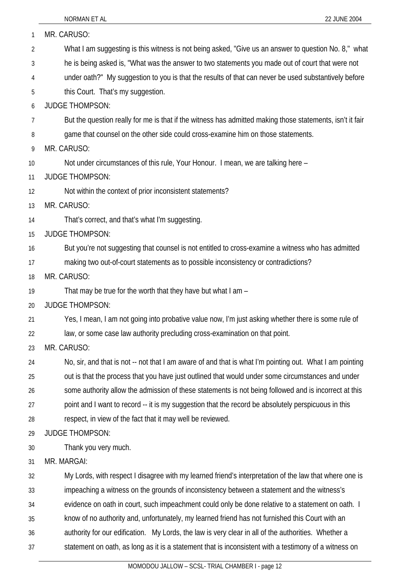| 1              | MR. CARUSO:                                                                                               |
|----------------|-----------------------------------------------------------------------------------------------------------|
| $\overline{2}$ | What I am suggesting is this witness is not being asked, "Give us an answer to question No. 8," what      |
| 3              | he is being asked is, "What was the answer to two statements you made out of court that were not          |
| 4              | under oath?" My suggestion to you is that the results of that can never be used substantively before      |
| 5              | this Court. That's my suggestion.                                                                         |
| 6              | <b>JUDGE THOMPSON:</b>                                                                                    |
| 7              | But the question really for me is that if the witness has admitted making those statements, isn't it fair |
| 8              | game that counsel on the other side could cross-examine him on those statements.                          |
| 9              | MR. CARUSO:                                                                                               |
| 10             | Not under circumstances of this rule, Your Honour. I mean, we are talking here -                          |
| 11             | <b>JUDGE THOMPSON:</b>                                                                                    |
| 12             | Not within the context of prior inconsistent statements?                                                  |
| 13             | MR. CARUSO:                                                                                               |
| 14             | That's correct, and that's what I'm suggesting.                                                           |
| 15             | <b>JUDGE THOMPSON:</b>                                                                                    |
| 16             | But you're not suggesting that counsel is not entitled to cross-examine a witness who has admitted        |
| 17             | making two out-of-court statements as to possible inconsistency or contradictions?                        |
| 18             | MR. CARUSO:                                                                                               |
| 19             | That may be true for the worth that they have but what I am -                                             |
| 20             | <b>JUDGE THOMPSON:</b>                                                                                    |
| 21             | Yes, I mean, I am not going into probative value now, I'm just asking whether there is some rule of       |
| 22             | law, or some case law authority precluding cross-examination on that point.                               |
| 23             | MR. CARUSO:                                                                                               |
| 24             | No, sir, and that is not -- not that I am aware of and that is what I'm pointing out. What I am pointing  |
| 25             | out is that the process that you have just outlined that would under some circumstances and under         |
| 26             | some authority allow the admission of these statements is not being followed and is incorrect at this     |
| 27             | point and I want to record -- it is my suggestion that the record be absolutely perspicuous in this       |
| 28             | respect, in view of the fact that it may well be reviewed.                                                |
| 29             | <b>JUDGE THOMPSON:</b>                                                                                    |
| 30             | Thank you very much.                                                                                      |
| 31             | MR. MARGAI:                                                                                               |
| 32             | My Lords, with respect I disagree with my learned friend's interpretation of the law that where one is    |
| 33             | impeaching a witness on the grounds of inconsistency between a statement and the witness's                |
| 34             | evidence on oath in court, such impeachment could only be done relative to a statement on oath. I         |
| 35             | know of no authority and, unfortunately, my learned friend has not furnished this Court with an           |
| 36             | authority for our edification. My Lords, the law is very clear in all of the authorities. Whether a       |
| 37             | statement on oath, as long as it is a statement that is inconsistent with a testimony of a witness on     |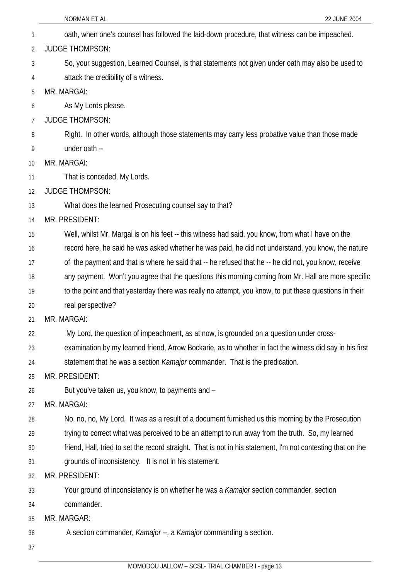- NORMAN ET AL 22 JUNE 2004 1 oath, when one's counsel has followed the laid-down procedure, that witness can be impeached. 2 3 4 5 6 7 8 9 10 11 12 13 14 15 16 17 18 19 20 21 22 23 24 25 26 27 28 29 30 31 32 33 34 35 36 JUDGE THOMPSON: So, your suggestion, Learned Counsel, is that statements not given under oath may also be used to attack the credibility of a witness. MR. MARGAI: As My Lords please. JUDGE THOMPSON: Right. In other words, although those statements may carry less probative value than those made under oath -- MR. MARGAI: That is conceded, My Lords. JUDGE THOMPSON: What does the learned Prosecuting counsel say to that? MR. PRESIDENT: Well, whilst Mr. Margai is on his feet -- this witness had said, you know, from what I have on the record here, he said he was asked whether he was paid, he did not understand, you know, the nature of the payment and that is where he said that -- he refused that he -- he did not, you know, receive any payment. Won't you agree that the questions this morning coming from Mr. Hall are more specific to the point and that yesterday there was really no attempt, you know, to put these questions in their real perspective? MR. MARGAI: My Lord, the question of impeachment, as at now, is grounded on a question under crossexamination by my learned friend, Arrow Bockarie, as to whether in fact the witness did say in his first statement that he was a section *Kamajor* commander. That is the predication. MR. PRESIDENT: But you've taken us, you know, to payments and – MR. MARGAI: No, no, no, My Lord. It was as a result of a document furnished us this morning by the Prosecution trying to correct what was perceived to be an attempt to run away from the truth. So, my learned friend, Hall, tried to set the record straight. That is not in his statement, I'm not contesting that on the grounds of inconsistency. It is not in his statement. MR. PRESIDENT: Your ground of inconsistency is on whether he was a *Kamajor* section commander, section commander. MR. MARGAR: A section commander, *Kamajor --,* a *Kamajor* commanding a section.
- 37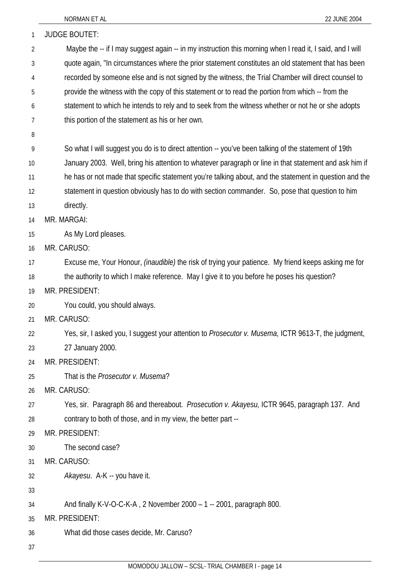| 1              | <b>JUDGE BOUTET:</b>                                                                                       |
|----------------|------------------------------------------------------------------------------------------------------------|
| $\overline{2}$ | Maybe the -- if I may suggest again -- in my instruction this morning when I read it, I said, and I will   |
| 3              | quote again, "In circumstances where the prior statement constitutes an old statement that has been        |
| 4              | recorded by someone else and is not signed by the witness, the Trial Chamber will direct counsel to        |
| 5              | provide the witness with the copy of this statement or to read the portion from which -- from the          |
| 6              | statement to which he intends to rely and to seek from the witness whether or not he or she adopts         |
| 7              | this portion of the statement as his or her own.                                                           |
| 8              |                                                                                                            |
| 9              | So what I will suggest you do is to direct attention -- you've been talking of the statement of 19th       |
| 10             | January 2003. Well, bring his attention to whatever paragraph or line in that statement and ask him if     |
| 11             | he has or not made that specific statement you're talking about, and the statement in question and the     |
| 12             | statement in question obviously has to do with section commander. So, pose that question to him            |
| 13             | directly.                                                                                                  |
| 14             | MR. MARGAI:                                                                                                |
| 15             | As My Lord pleases.                                                                                        |
| 16             | MR. CARUSO:                                                                                                |
| 17             | Excuse me, Your Honour, <i>(inaudible)</i> the risk of trying your patience. My friend keeps asking me for |
| 18             | the authority to which I make reference. May I give it to you before he poses his question?                |
| 19             | MR. PRESIDENT:                                                                                             |
| 20             | You could, you should always.                                                                              |
| 21             | MR. CARUSO:                                                                                                |
| 22             | Yes, sir, I asked you, I suggest your attention to Prosecutor v. Musema, ICTR 9613-T, the judgment,        |
| 23             | 27 January 2000.                                                                                           |
| 24             | MR. PRESIDENT:                                                                                             |
| 25             | That is the <i>Prosecutor v. Musema</i> ?                                                                  |
| 26             | MR. CARUSO:                                                                                                |
| 27             | Yes, sir. Paragraph 86 and thereabout. Prosecution v. Akayesu, ICTR 9645, paragraph 137. And               |
| 28             | contrary to both of those, and in my view, the better part --                                              |
| 29             | MR. PRESIDENT:                                                                                             |
| 30             | The second case?                                                                                           |
| 31             | MR. CARUSO:                                                                                                |
| 32             | Akayesu. A-K -- you have it.                                                                               |
| 33             |                                                                                                            |
| 34             | And finally K-V-O-C-K-A, 2 November 2000 - 1 -- 2001, paragraph 800.                                       |
| 35             | MR. PRESIDENT:                                                                                             |
| 36             | What did those cases decide, Mr. Caruso?                                                                   |
| 37             |                                                                                                            |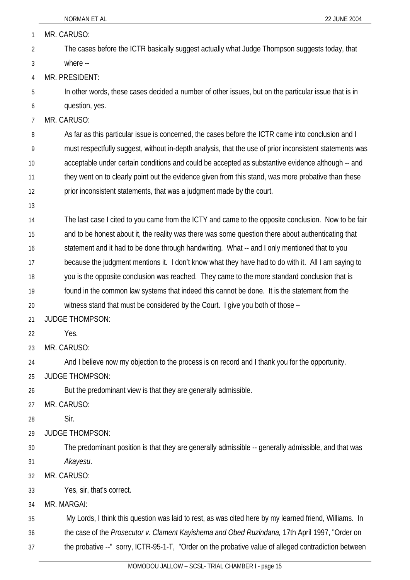| 1              | MR. CARUSO:                                                                                             |
|----------------|---------------------------------------------------------------------------------------------------------|
| $\overline{2}$ | The cases before the ICTR basically suggest actually what Judge Thompson suggests today, that           |
| 3              | where --                                                                                                |
| 4              | MR. PRESIDENT:                                                                                          |
| 5              | In other words, these cases decided a number of other issues, but on the particular issue that is in    |
| 6              | question, yes.                                                                                          |
| 7              | MR. CARUSO:                                                                                             |
| 8              | As far as this particular issue is concerned, the cases before the ICTR came into conclusion and I      |
| 9              | must respectfully suggest, without in-depth analysis, that the use of prior inconsistent statements was |
| 10             | acceptable under certain conditions and could be accepted as substantive evidence although -- and       |
| 11             | they went on to clearly point out the evidence given from this stand, was more probative than these     |
| 12             | prior inconsistent statements, that was a judgment made by the court.                                   |
| 13             |                                                                                                         |
| 14             | The last case I cited to you came from the ICTY and came to the opposite conclusion. Now to be fair     |
| 15             | and to be honest about it, the reality was there was some question there about authenticating that      |
| 16             | statement and it had to be done through handwriting. What -- and I only mentioned that to you           |
| 17             | because the judgment mentions it. I don't know what they have had to do with it. All I am saying to     |
| 18             | you is the opposite conclusion was reached. They came to the more standard conclusion that is           |
| 19             | found in the common law systems that indeed this cannot be done. It is the statement from the           |
| 20             | witness stand that must be considered by the Court. I give you both of those -                          |
| 21             | <b>JUDGE THOMPSON:</b>                                                                                  |
| 22             | Yes.                                                                                                    |
| 23             | MR. CARUSO:                                                                                             |
| 24             | And I believe now my objection to the process is on record and I thank you for the opportunity.         |
| 25             | <b>JUDGE THOMPSON:</b>                                                                                  |
| 26             | But the predominant view is that they are generally admissible.                                         |
| 27             | MR. CARUSO:                                                                                             |
| 28             | Sir.                                                                                                    |
| 29             | <b>JUDGE THOMPSON:</b>                                                                                  |
| 30             | The predominant position is that they are generally admissible -- generally admissible, and that was    |
| 31             | Akayesu.                                                                                                |
| 32             | MR. CARUSO:                                                                                             |
| 33             | Yes, sir, that's correct.                                                                               |
| 34             | MR. MARGAI:                                                                                             |
| 35             | My Lords, I think this question was laid to rest, as was cited here by my learned friend, Williams. In  |
| 36             | the case of the Prosecutor v. Clament Kayishema and Obed Ruzindana, 17th April 1997, "Order on          |
| 37             | the probative --" sorry, ICTR-95-1-T, "Order on the probative value of alleged contradiction between    |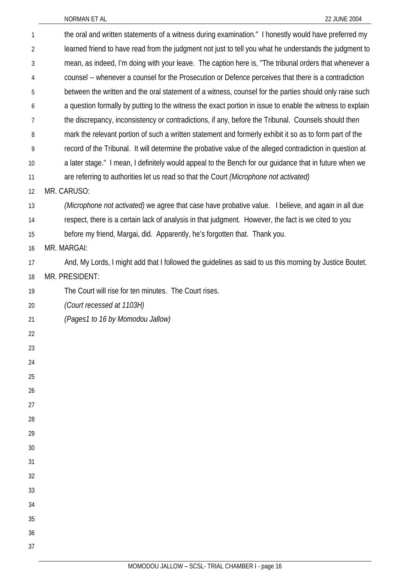| 1              | the oral and written statements of a witness during examination." I honestly would have preferred my      |
|----------------|-----------------------------------------------------------------------------------------------------------|
| $\overline{2}$ | learned friend to have read from the judgment not just to tell you what he understands the judgment to    |
| 3              | mean, as indeed, I'm doing with your leave. The caption here is, "The tribunal orders that whenever a     |
| 4              | counsel -- whenever a counsel for the Prosecution or Defence perceives that there is a contradiction      |
| 5              | between the written and the oral statement of a witness, counsel for the parties should only raise such   |
| 6              | a question formally by putting to the witness the exact portion in issue to enable the witness to explain |
| 7              | the discrepancy, inconsistency or contradictions, if any, before the Tribunal. Counsels should then       |
| 8              | mark the relevant portion of such a written statement and formerly exhibit it so as to form part of the   |
| 9              | record of the Tribunal. It will determine the probative value of the alleged contradiction in question at |
| 10             | a later stage." I mean, I definitely would appeal to the Bench for our guidance that in future when we    |
| 11             | are referring to authorities let us read so that the Court (Microphone not activated)                     |
| 12             | MR. CARUSO:                                                                                               |
| 13             | (Microphone not activated) we agree that case have probative value. I believe, and again in all due       |
| 14             | respect, there is a certain lack of analysis in that judgment. However, the fact is we cited to you       |
| 15             | before my friend, Margai, did. Apparently, he's forgotten that. Thank you.                                |
| 16             | MR. MARGAI:                                                                                               |
| 17             | And, My Lords, I might add that I followed the guidelines as said to us this morning by Justice Boutet.   |
| 18             | MR. PRESIDENT:                                                                                            |
| 19             | The Court will rise for ten minutes. The Court rises.                                                     |
| 20             | (Court recessed at 1103H)                                                                                 |
| 21             | (Pages1 to 16 by Momodou Jallow)                                                                          |
| 22             |                                                                                                           |
| 23             |                                                                                                           |
| 24             |                                                                                                           |
| 25             |                                                                                                           |
| 26             |                                                                                                           |
| 27             |                                                                                                           |
| 28             |                                                                                                           |
| 29             |                                                                                                           |
| 30             |                                                                                                           |
| 31             |                                                                                                           |
| 32             |                                                                                                           |
| 33             |                                                                                                           |
| 34             |                                                                                                           |
| 35             |                                                                                                           |
| 36             |                                                                                                           |
| 37             |                                                                                                           |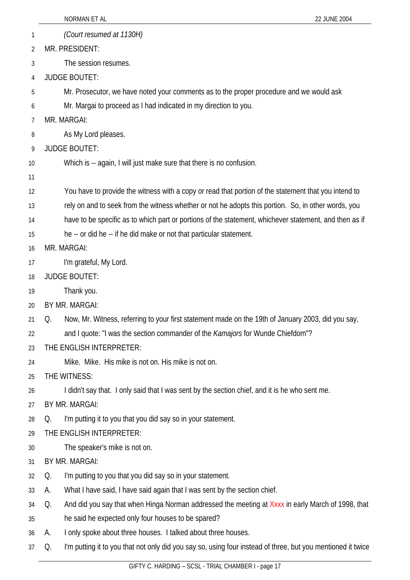|    |    | NORMAN ET AL<br>22 JUNE 2004                                                                                |
|----|----|-------------------------------------------------------------------------------------------------------------|
| 1  |    | (Court resumed at 1130H)                                                                                    |
| 2  |    | MR. PRESIDENT:                                                                                              |
| 3  |    | The session resumes.                                                                                        |
| 4  |    | <b>JUDGE BOUTET:</b>                                                                                        |
| 5  |    | Mr. Prosecutor, we have noted your comments as to the proper procedure and we would ask                     |
| 6  |    | Mr. Margai to proceed as I had indicated in my direction to you.                                            |
| 7  |    | MR. MARGAI:                                                                                                 |
| 8  |    | As My Lord pleases.                                                                                         |
| 9  |    | <b>JUDGE BOUTET:</b>                                                                                        |
| 10 |    | Which is -- again, I will just make sure that there is no confusion.                                        |
| 11 |    |                                                                                                             |
| 12 |    | You have to provide the witness with a copy or read that portion of the statement that you intend to        |
| 13 |    | rely on and to seek from the witness whether or not he adopts this portion. So, in other words, you         |
| 14 |    | have to be specific as to which part or portions of the statement, whichever statement, and then as if      |
| 15 |    | he -- or did he -- if he did make or not that particular statement.                                         |
| 16 |    | MR. MARGAI:                                                                                                 |
| 17 |    | I'm grateful, My Lord.                                                                                      |
| 18 |    | <b>JUDGE BOUTET:</b>                                                                                        |
| 19 |    | Thank you.                                                                                                  |
| 20 |    | BY MR. MARGAI:                                                                                              |
| 21 | Q. | Now, Mr. Witness, referring to your first statement made on the 19th of January 2003, did you say,          |
| 22 |    | and I quote: "I was the section commander of the <i>Kamajors</i> for Wunde Chiefdom"?                       |
| 23 |    | THE ENGLISH INTERPRETER:                                                                                    |
| 24 |    | Mike. Mike. His mike is not on. His mike is not on.                                                         |
| 25 |    | THE WITNESS:                                                                                                |
| 26 |    | I didn't say that. I only said that I was sent by the section chief, and it is he who sent me.              |
| 27 |    | BY MR. MARGAI:                                                                                              |
| 28 | Q. | I'm putting it to you that you did say so in your statement.                                                |
| 29 |    | THE ENGLISH INTERPRETER:                                                                                    |
| 30 |    | The speaker's mike is not on.                                                                               |
| 31 |    | BY MR. MARGAI:                                                                                              |
| 32 | Q. | I'm putting to you that you did say so in your statement.                                                   |
| 33 | А. | What I have said, I have said again that I was sent by the section chief.                                   |
| 34 | Q. | And did you say that when Hinga Norman addressed the meeting at Xxxx in early March of 1998, that           |
| 35 |    | he said he expected only four houses to be spared?                                                          |
| 36 | А. | I only spoke about three houses. I talked about three houses.                                               |
| 37 | Q. | I'm putting it to you that not only did you say so, using four instead of three, but you mentioned it twice |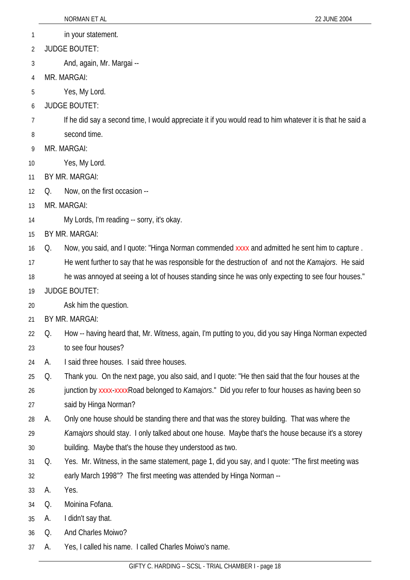- 1 in your statement.
- 2 JUDGE BOUTET:
- 3 And, again, Mr. Margai --
- 4 MR. MARGAI:
- 5 Yes, My Lord.
- 6 JUDGE BOUTET:
- 7 If he did say a second time, I would appreciate it if you would read to him whatever it is that he said a
- 8 second time.
- 9 MR. MARGAI:
- 10 Yes, My Lord.
- 11 BY MR. MARGAI:
- 12 Q. Now, on the first occasion --
- 13 MR. MARGAI:
- 14 My Lords, I'm reading -- sorry, it's okay.
- 15 BY MR. MARGAI:
- 16 Q. Now, you said, and I quote: "Hinga Norman commended xxxx and admitted he sent him to capture .
- 17 He went further to say that he was responsible for the destruction of and not the *Kamajors*. He said
- 18 he was annoyed at seeing a lot of houses standing since he was only expecting to see four houses."
- 19 JUDGE BOUTET:
- 20 Ask him the question.
- 21 BY MR. MARGAI:
- 22 23 Q. How -- having heard that, Mr. Witness, again, I'm putting to you, did you say Hinga Norman expected to see four houses?
- 24 A. I said three houses. I said three houses.
- 25 26 27 Q. Thank you. On the next page, you also said, and I quote: "He then said that the four houses at the junction by xxxx-xxxxRoad belonged to *Kamajors*." Did you refer to four houses as having been so said by Hinga Norman?
- 28 A. Only one house should be standing there and that was the storey building. That was where the
- 29 30 *Kamajors* should stay. I only talked about one house. Maybe that's the house because it's a storey building. Maybe that's the house they understood as two.
- 31 32 Q. Yes. Mr. Witness, in the same statement, page 1, did you say, and I quote: "The first meeting was early March 1998"? The first meeting was attended by Hinga Norman --
- 33 A. Yes.
- 34 Q. Moinina Fofana.
- 35 A. I didn't say that.
- 36 Q. And Charles Moiwo?
- 37 A. Yes, I called his name. I called Charles Moiwo's name.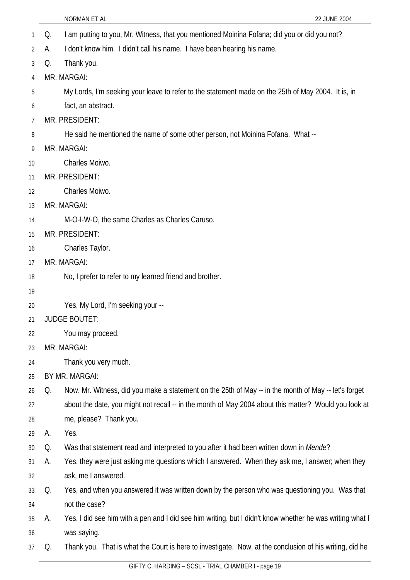- 1 Q. I am putting to you, Mr. Witness, that you mentioned Moinina Fofana; did you or did you not? 2 A. I don't know him. I didn't call his name. I have been hearing his name.
- 3 Q. Thank you.
- 4 MR. MARGAI:
- 5 My Lords, I'm seeking your leave to refer to the statement made on the 25th of May 2004. It is, in
- 6 fact, an abstract.
- 7 MR. PRESIDENT:
- 8 He said he mentioned the name of some other person, not Moinina Fofana. What --
- 9 MR. MARGAI:
- 10 Charles Moiwo.
- 11 MR. PRESIDENT:
- 12 Charles Moiwo.
- 13 MR. MARGAI:
- 14 M-O-I-W-O, the same Charles as Charles Caruso.
- 15 MR. PRESIDENT:
- 16 Charles Taylor.
- 17 MR. MARGAI:
- 18 No, I prefer to refer to my learned friend and brother.
- 19
- 20 Yes, My Lord, I'm seeking your --
- 21 JUDGE BOUTET:
- 22 You may proceed.
- 23 MR. MARGAI:
- 24 Thank you very much.
- 25 BY MR. MARGAI:
- 26 27 28 Q. Now, Mr. Witness, did you make a statement on the 25th of May -- in the month of May -- let's forget about the date, you might not recall -- in the month of May 2004 about this matter? Would you look at me, please? Thank you.
- 29 A. Yes.
- 30 Q. Was that statement read and interpreted to you after it had been written down in *Mende*?
- 31 32 A. Yes, they were just asking me questions which I answered. When they ask me, I answer; when they ask, me I answered.
- 33 34 Q. Yes, and when you answered it was written down by the person who was questioning you. Was that not the case?
- 35 36 A. Yes, I did see him with a pen and I did see him writing, but I didn't know whether he was writing what I was saying.
- 37 Q. Thank you. That is what the Court is here to investigate. Now, at the conclusion of his writing, did he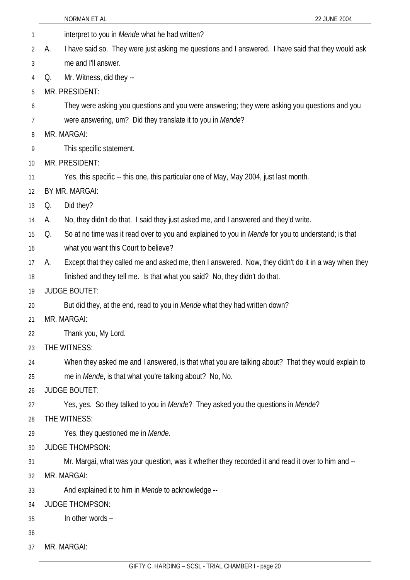|    |                      | NORMAN ET AL<br>22 JUNE 2004                                                                              |
|----|----------------------|-----------------------------------------------------------------------------------------------------------|
| 1  |                      | interpret to you in Mende what he had written?                                                            |
| 2  | А.                   | I have said so. They were just asking me questions and I answered. I have said that they would ask        |
| 3  |                      | me and I'll answer.                                                                                       |
| 4  | Q.                   | Mr. Witness, did they --                                                                                  |
| 5  | MR. PRESIDENT:       |                                                                                                           |
| 6  |                      | They were asking you questions and you were answering; they were asking you questions and you             |
| 7  |                      | were answering, um? Did they translate it to you in Mende?                                                |
| 8  | MR. MARGAI:          |                                                                                                           |
| 9  |                      | This specific statement.                                                                                  |
| 10 | MR. PRESIDENT:       |                                                                                                           |
| 11 |                      | Yes, this specific -- this one, this particular one of May, May 2004, just last month.                    |
| 12 | BY MR. MARGAI:       |                                                                                                           |
| 13 | Q.                   | Did they?                                                                                                 |
| 14 | А.                   | No, they didn't do that. I said they just asked me, and I answered and they'd write.                      |
| 15 | Q.                   | So at no time was it read over to you and explained to you in <i>Mende</i> for you to understand; is that |
| 16 |                      | what you want this Court to believe?                                                                      |
| 17 | А.                   | Except that they called me and asked me, then I answered. Now, they didn't do it in a way when they       |
| 18 |                      | finished and they tell me. Is that what you said? No, they didn't do that.                                |
| 19 | <b>JUDGE BOUTET:</b> |                                                                                                           |
| 20 |                      | But did they, at the end, read to you in <i>Mende</i> what they had written down?                         |
| 21 | MR. MARGAI:          |                                                                                                           |
| 22 |                      | Thank you, My Lord.                                                                                       |
| 23 | THE WITNESS:         |                                                                                                           |
| 24 |                      | When they asked me and I answered, is that what you are talking about? That they would explain to         |
| 25 |                      | me in <i>Mende</i> , is that what you're talking about? No, No.                                           |
| 26 | <b>JUDGE BOUTET:</b> |                                                                                                           |
| 27 |                      | Yes, yes. So they talked to you in Mende? They asked you the questions in Mende?                          |
| 28 | THE WITNESS:         |                                                                                                           |
| 29 |                      | Yes, they questioned me in Mende.                                                                         |
| 30 |                      | <b>JUDGE THOMPSON:</b>                                                                                    |
| 31 |                      | Mr. Margai, what was your question, was it whether they recorded it and read it over to him and --        |
| 32 | MR. MARGAI:          |                                                                                                           |
| 33 |                      | And explained it to him in Mende to acknowledge --                                                        |
| 34 |                      | <b>JUDGE THOMPSON:</b>                                                                                    |
| 35 |                      | In other words -                                                                                          |
| 36 |                      |                                                                                                           |
| 37 | MR. MARGAI:          |                                                                                                           |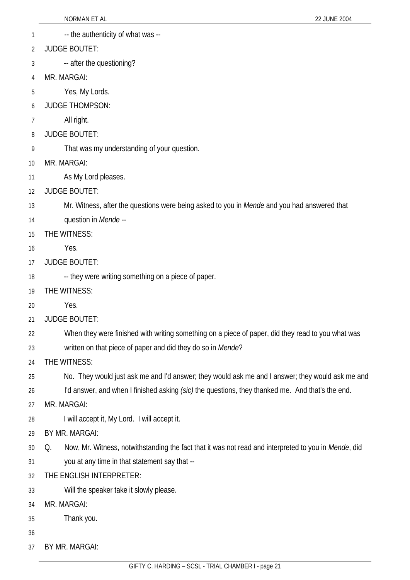- 1 -- the authenticity of what was --
- 2 JUDGE BOUTET:
- 3 -- after the questioning?
- 4 MR. MARGAI:
- 5 Yes, My Lords.
- 6 JUDGE THOMPSON:
- 7 All right.
- 8 JUDGE BOUTET:
- 9 That was my understanding of your question.
- 10 MR. MARGAI:
- 11 As My Lord pleases.
- 12 JUDGE BOUTET:
- 13 Mr. Witness, after the questions were being asked to you in *Mende* and you had answered that
- 14 question in *Mende* --
- 15 THE WITNESS:
- 16 Yes.
- 17 JUDGE BOUTET:
- 18 -- they were writing something on a piece of paper.
- 19 THE WITNESS:
- 20 Yes.
- 21 JUDGE BOUTET:
- 22 When they were finished with writing something on a piece of paper, did they read to you what was
- 23 written on that piece of paper and did they do so in *Mende*?
- 24 THE WITNESS:
- 25 No. They would just ask me and I'd answer; they would ask me and I answer; they would ask me and
- 26 I'd answer, and when I finished asking *(sic)* the questions, they thanked me. And that's the end.
- 27 MR. MARGAI:
- 28 I will accept it, My Lord. I will accept it.
- 29 BY MR. MARGAI:
- 30 31 Q. Now, Mr. Witness, notwithstanding the fact that it was not read and interpreted to you in *Mende*, did you at any time in that statement say that --
- 32 THE ENGLISH INTERPRETER:
- 33 Will the speaker take it slowly please.
- 34 MR. MARGAI:
- 35 Thank you.
- 36
- 37 BY MR. MARGAI: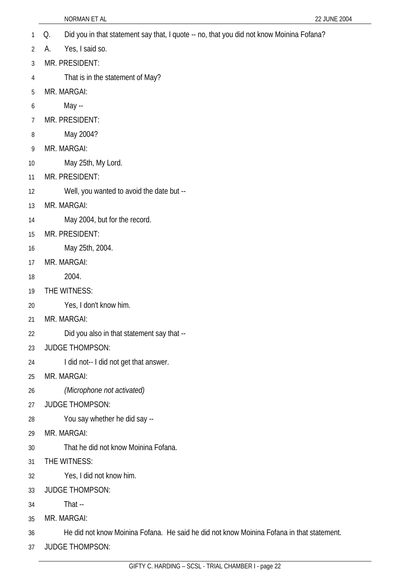- 1 Q. Did you in that statement say that, I quote -- no, that you did not know Moinina Fofana?
- 2 A. Yes, I said so.
- 3 MR. PRESIDENT:
- 4 That is in the statement of May?
- 5 MR. MARGAI:
- 6 May --
- 7 MR. PRESIDENT:
- 8 May 2004?
- 9 MR. MARGAI:
- 10 May 25th, My Lord.
- 11 MR. PRESIDENT:
- 12 Well, you wanted to avoid the date but --
- 13 MR. MARGAI:
- 14 May 2004, but for the record.
- 15 MR. PRESIDENT:
- 16 May 25th, 2004.
- 17 MR. MARGAI:
- 18 2004.
- 19 THE WITNESS:
- 20 Yes, I don't know him.
- 21 MR. MARGAI:
- 22 Did you also in that statement say that --
- 23 JUDGE THOMPSON:
- 24 I did not-- I did not get that answer.
- 25 MR. MARGAI:
- 26 *(Microphone not activated)*
- 27 JUDGE THOMPSON:
- 28 You say whether he did say --
- 29 MR. MARGAI:
- 30 That he did not know Moinina Fofana.
- 31 THE WITNESS:
- 32 Yes, I did not know him.
- 33 JUDGE THOMPSON:
- 34 That --
- 35 MR. MARGAI:
- 36 He did not know Moinina Fofana. He said he did not know Moinina Fofana in that statement.
- 37 JUDGE THOMPSON: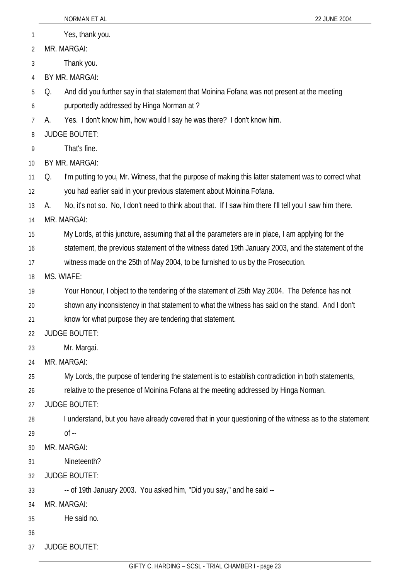|                | NORMAN ET AL<br>22 JUNE 2004                                                                                   |  |  |
|----------------|----------------------------------------------------------------------------------------------------------------|--|--|
| 1              | Yes, thank you.                                                                                                |  |  |
| $\overline{2}$ | MR. MARGAI:                                                                                                    |  |  |
| 3              | Thank you.                                                                                                     |  |  |
| 4              | BY MR. MARGAI:                                                                                                 |  |  |
| 5              | And did you further say in that statement that Moinina Fofana was not present at the meeting<br>Q.             |  |  |
| 6              | purportedly addressed by Hinga Norman at?                                                                      |  |  |
| 7              | Yes. I don't know him, how would I say he was there? I don't know him.<br>А.                                   |  |  |
| 8              | <b>JUDGE BOUTET:</b>                                                                                           |  |  |
| 9              | That's fine.                                                                                                   |  |  |
| 10             | BY MR. MARGAI:                                                                                                 |  |  |
| 11             | I'm putting to you, Mr. Witness, that the purpose of making this latter statement was to correct what<br>Q.    |  |  |
| 12             | you had earlier said in your previous statement about Moinina Fofana.                                          |  |  |
| 13             | No, it's not so. No, I don't need to think about that. If I saw him there I'll tell you I saw him there.<br>A. |  |  |
| 14             | MR. MARGAI:                                                                                                    |  |  |
| 15             | My Lords, at this juncture, assuming that all the parameters are in place, I am applying for the               |  |  |
| 16             | statement, the previous statement of the witness dated 19th January 2003, and the statement of the             |  |  |
| 17             | witness made on the 25th of May 2004, to be furnished to us by the Prosecution.                                |  |  |
| 18             | MS. WIAFE:                                                                                                     |  |  |
| 19             | Your Honour, I object to the tendering of the statement of 25th May 2004. The Defence has not                  |  |  |
| 20             | shown any inconsistency in that statement to what the witness has said on the stand. And I don't               |  |  |
| 21             | know for what purpose they are tendering that statement.                                                       |  |  |
| 22             | <b>JUDGE BOUTET:</b>                                                                                           |  |  |
| 23             | Mr. Margai.                                                                                                    |  |  |
| 24             | MR. MARGAI:                                                                                                    |  |  |
| 25             | My Lords, the purpose of tendering the statement is to establish contradiction in both statements,             |  |  |
| 26             | relative to the presence of Moinina Fofana at the meeting addressed by Hinga Norman.                           |  |  |
| 27             | <b>JUDGE BOUTET:</b>                                                                                           |  |  |
| 28             | I understand, but you have already covered that in your questioning of the witness as to the statement         |  |  |
| 29             | $of -$                                                                                                         |  |  |
| 30             | MR. MARGAI:                                                                                                    |  |  |
| 31             | Nineteenth?                                                                                                    |  |  |
| 32             | <b>JUDGE BOUTET:</b>                                                                                           |  |  |
| 33             | -- of 19th January 2003. You asked him, "Did you say," and he said --                                          |  |  |
| 34             | MR. MARGAI:                                                                                                    |  |  |
| 35             | He said no.                                                                                                    |  |  |
| 36             |                                                                                                                |  |  |
| 37             | <b>JUDGE BOUTET:</b>                                                                                           |  |  |
|                |                                                                                                                |  |  |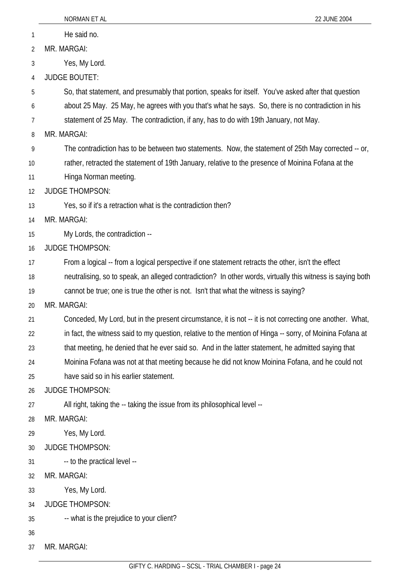|                | NORMAN ET AL<br>22 JUNE 2004                                                                               |  |
|----------------|------------------------------------------------------------------------------------------------------------|--|
| 1              | He said no.                                                                                                |  |
| $\overline{2}$ | MR. MARGAI:                                                                                                |  |
| 3              | Yes, My Lord.                                                                                              |  |
| 4              | <b>JUDGE BOUTET:</b>                                                                                       |  |
| 5              | So, that statement, and presumably that portion, speaks for itself. You've asked after that question       |  |
| 6              | about 25 May. 25 May, he agrees with you that's what he says. So, there is no contradiction in his         |  |
| 7              | statement of 25 May. The contradiction, if any, has to do with 19th January, not May.                      |  |
| 8              | MR. MARGAI:                                                                                                |  |
| 9              | The contradiction has to be between two statements. Now, the statement of 25th May corrected -- or,        |  |
| 10             | rather, retracted the statement of 19th January, relative to the presence of Moinina Fofana at the         |  |
| 11             | Hinga Norman meeting.                                                                                      |  |
| 12             | <b>JUDGE THOMPSON:</b>                                                                                     |  |
| 13             | Yes, so if it's a retraction what is the contradiction then?                                               |  |
| 14             | MR. MARGAI:                                                                                                |  |
| 15             | My Lords, the contradiction --                                                                             |  |
| 16             | <b>JUDGE THOMPSON:</b>                                                                                     |  |
| 17             | From a logical -- from a logical perspective if one statement retracts the other, isn't the effect         |  |
| 18             | neutralising, so to speak, an alleged contradiction? In other words, virtually this witness is saying both |  |
| 19             | cannot be true; one is true the other is not. Isn't that what the witness is saying?                       |  |
| 20             | MR. MARGAI:                                                                                                |  |
| 21             | Conceded, My Lord, but in the present circumstance, it is not -- it is not correcting one another. What,   |  |
| 22             | in fact, the witness said to my question, relative to the mention of Hinga -- sorry, of Moinina Fofana at  |  |
| 23             | that meeting, he denied that he ever said so. And in the latter statement, he admitted saying that         |  |
| 24             | Moinina Fofana was not at that meeting because he did not know Moinina Fofana, and he could not            |  |
| 25             | have said so in his earlier statement.                                                                     |  |
| 26             | <b>JUDGE THOMPSON:</b>                                                                                     |  |
| 27             | All right, taking the -- taking the issue from its philosophical level --                                  |  |
| 28             | MR. MARGAI:                                                                                                |  |
| 29             | Yes, My Lord.                                                                                              |  |
| 30             | <b>JUDGE THOMPSON:</b>                                                                                     |  |
| 31             | -- to the practical level --                                                                               |  |
| 32             | MR. MARGAI:                                                                                                |  |
| 33             | Yes, My Lord.                                                                                              |  |
| 34             | <b>JUDGE THOMPSON:</b>                                                                                     |  |
| 35             | -- what is the prejudice to your client?                                                                   |  |
| 36             |                                                                                                            |  |
| 37             | MR. MARGAI:                                                                                                |  |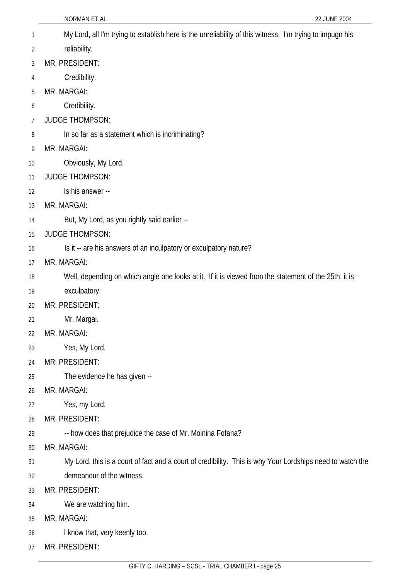- My Lord, all I'm trying to establish here is the unreliability of this witness. I'm trying to impugn his 1
- reliability. 2
- 3 MR. PRESIDENT:
- 4 Credibility.
- 5 MR. MARGAI:
- 6 Credibility.
- 7 JUDGE THOMPSON:
- 8 In so far as a statement which is incriminating?
- 9 MR. MARGAI:
- 10 Obviously, My Lord.
- 11 JUDGE THOMPSON:
- 12 Is his answer --
- 13 MR. MARGAI:
- 14 But, My Lord, as you rightly said earlier --
- 15 JUDGE THOMPSON:
- 16 Is it -- are his answers of an inculpatory or exculpatory nature?
- 17 MR. MARGAI:
- 18 Well, depending on which angle one looks at it. If it is viewed from the statement of the 25th, it is
- 19 exculpatory.
- 20 MR. PRESIDENT:
- 21 Mr. Margai.
- 22 MR. MARGAI:
- 23 Yes, My Lord.
- 24 MR. PRESIDENT:
- 25 The evidence he has given --
- 26 MR. MARGAI:
- 27 Yes, my Lord.
- 28 MR. PRESIDENT:
- 29 -- how does that prejudice the case of Mr. Moinina Fofana?
- 30 MR. MARGAI:
- 31 My Lord, this is a court of fact and a court of credibility. This is why Your Lordships need to watch the
- 32 demeanour of the witness.
- 33 MR. PRESIDENT:
- 34 We are watching him.
- 35 MR. MARGAI:
- 36 I know that, very keenly too.
- 37 MR. PRESIDENT: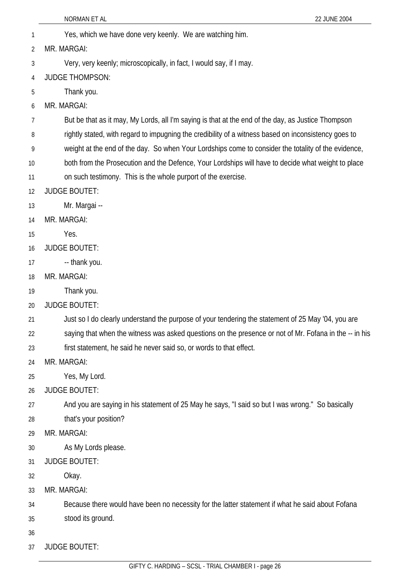NORMAN ET AL 22 JUNE 2004 1 Yes, which we have done very keenly. We are watching him. 2 3 4 5 6 7 8 9 10 11 12 13 14 15 16 17 18 19 20 21 22 23 24 25 26 27 28 29 30 31 32 33 34 35 36 37 MR. MARGAI: Very, very keenly; microscopically, in fact, I would say, if I may. JUDGE THOMPSON: Thank you. MR. MARGAI: But be that as it may, My Lords, all I'm saying is that at the end of the day, as Justice Thompson rightly stated, with regard to impugning the credibility of a witness based on inconsistency goes to weight at the end of the day. So when Your Lordships come to consider the totality of the evidence, both from the Prosecution and the Defence, Your Lordships will have to decide what weight to place on such testimony. This is the whole purport of the exercise. JUDGE BOUTET: Mr. Margai -- MR. MARGAI: Yes. JUDGE BOUTET: -- thank you. MR. MARGAI: Thank you. JUDGE BOUTET: Just so I do clearly understand the purpose of your tendering the statement of 25 May '04, you are saying that when the witness was asked questions on the presence or not of Mr. Fofana in the -- in his first statement, he said he never said so, or words to that effect. MR. MARGAI: Yes, My Lord. JUDGE BOUTET: And you are saying in his statement of 25 May he says, "I said so but I was wrong." So basically that's your position? MR. MARGAI: As My Lords please. JUDGE BOUTET: Okay. MR. MARGAI: Because there would have been no necessity for the latter statement if what he said about Fofana stood its ground. JUDGE BOUTET: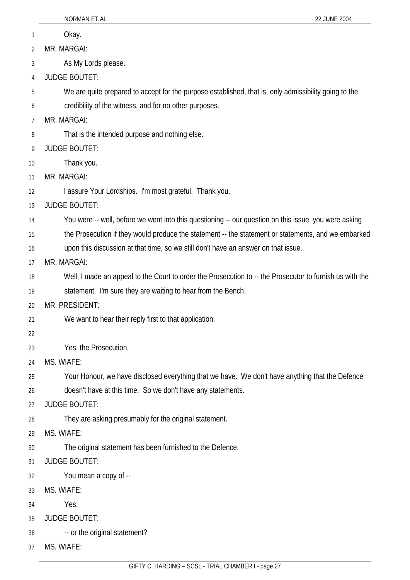|    | NORMAN ET AL<br>22 JUNE 2004                                                                             |
|----|----------------------------------------------------------------------------------------------------------|
| 1  | Okay.                                                                                                    |
| 2  | MR. MARGAI:                                                                                              |
| 3  | As My Lords please.                                                                                      |
| 4  | <b>JUDGE BOUTET:</b>                                                                                     |
| 5  | We are quite prepared to accept for the purpose established, that is, only admissibility going to the    |
| 6  | credibility of the witness, and for no other purposes.                                                   |
| 7  | MR. MARGAI:                                                                                              |
| 8  | That is the intended purpose and nothing else.                                                           |
| 9  | <b>JUDGE BOUTET:</b>                                                                                     |
| 10 | Thank you.                                                                                               |
| 11 | MR. MARGAI:                                                                                              |
| 12 | I assure Your Lordships. I'm most grateful. Thank you.                                                   |
| 13 | <b>JUDGE BOUTET:</b>                                                                                     |
| 14 | You were -- well, before we went into this questioning -- our question on this issue, you were asking    |
| 15 | the Prosecution if they would produce the statement -- the statement or statements, and we embarked      |
| 16 | upon this discussion at that time, so we still don't have an answer on that issue.                       |
| 17 | MR. MARGAI:                                                                                              |
| 18 | Well, I made an appeal to the Court to order the Prosecution to -- the Prosecutor to furnish us with the |
| 19 | statement. I'm sure they are waiting to hear from the Bench.                                             |
| 20 | MR. PRESIDENT:                                                                                           |
| 21 | We want to hear their reply first to that application.                                                   |
| 22 |                                                                                                          |
| 23 | Yes, the Prosecution.                                                                                    |
| 24 | MS. WIAFE:                                                                                               |
| 25 | Your Honour, we have disclosed everything that we have. We don't have anything that the Defence          |
| 26 | doesn't have at this time. So we don't have any statements.                                              |
| 27 | <b>JUDGE BOUTET:</b>                                                                                     |
| 28 | They are asking presumably for the original statement.                                                   |
| 29 | MS. WIAFE:                                                                                               |
| 30 | The original statement has been furnished to the Defence.                                                |
| 31 | <b>JUDGE BOUTET:</b>                                                                                     |
| 32 | You mean a copy of --                                                                                    |
| 33 | MS. WIAFE:                                                                                               |
| 34 | Yes.                                                                                                     |
| 35 | <b>JUDGE BOUTET:</b>                                                                                     |
| 36 | -- or the original statement?                                                                            |
| 37 | MS. WIAFE:                                                                                               |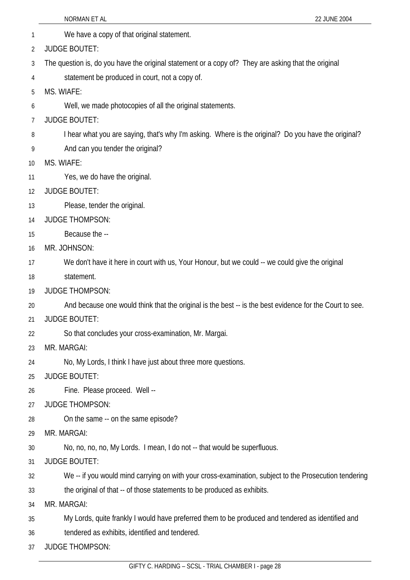- 1 We have a copy of that original statement. 2 JUDGE BOUTET:
- 3 The question is, do you have the original statement or a copy of? They are asking that the original
- 4 statement be produced in court, not a copy of.
- 5 MS. WIAFE:
- 6 Well, we made photocopies of all the original statements.
- 7 JUDGE BOUTET:
- 8 I hear what you are saying, that's why I'm asking. Where is the original? Do you have the original?
- 9 And can you tender the original?
- 10 MS. WIAFE:
- 11 Yes, we do have the original.
- 12 JUDGE BOUTET:
- 13 Please, tender the original.
- 14 JUDGE THOMPSON:
- 15 Because the --
- 16 MR. JOHNSON:
- 17 We don't have it here in court with us, Your Honour, but we could -- we could give the original
- 18 statement.
- 19 JUDGE THOMPSON:
- 20 And because one would think that the original is the best -- is the best evidence for the Court to see.
- 21 JUDGE BOUTET:
- 22 So that concludes your cross-examination, Mr. Margai.
- 23 MR. MARGAI:
- 24 No, My Lords, I think I have just about three more questions.
- 25 JUDGE BOUTET:
- 26 Fine. Please proceed. Well --
- 27 JUDGE THOMPSON:
- 28 On the same -- on the same episode?
- 29 MR. MARGAI:
- 30 No, no, no, no, My Lords. I mean, I do not -- that would be superfluous.
- 31 JUDGE BOUTET:
- 32 We -- if you would mind carrying on with your cross-examination, subject to the Prosecution tendering
- 33 the original of that -- of those statements to be produced as exhibits.
- 34 MR. MARGAI:
- 35 My Lords, quite frankly I would have preferred them to be produced and tendered as identified and
- 36 tendered as exhibits, identified and tendered.
- 37 JUDGE THOMPSON: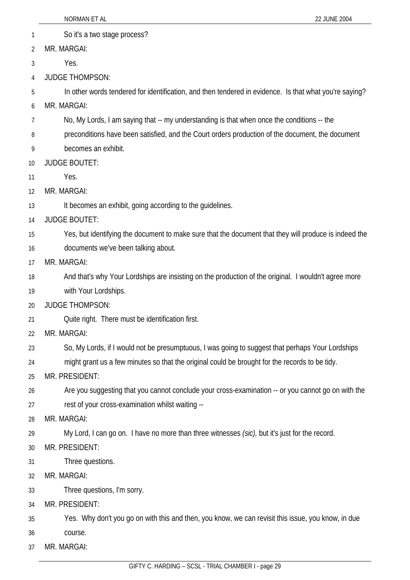|    | NORMAN ET AL                                                                                           | 22 JUNE 2004 |
|----|--------------------------------------------------------------------------------------------------------|--------------|
| 1  | So it's a two stage process?                                                                           |              |
| 2  | MR. MARGAI:                                                                                            |              |
| 3  | Yes.                                                                                                   |              |
| 4  | <b>JUDGE THOMPSON:</b>                                                                                 |              |
| 5  | In other words tendered for identification, and then tendered in evidence. Is that what you're saying? |              |
| 6  | MR. MARGAI:                                                                                            |              |
| 7  | No, My Lords, I am saying that -- my understanding is that when once the conditions -- the             |              |
| 8  | preconditions have been satisfied, and the Court orders production of the document, the document       |              |
| 9  | becomes an exhibit.                                                                                    |              |
| 10 | <b>JUDGE BOUTET:</b>                                                                                   |              |
| 11 | Yes.                                                                                                   |              |
| 12 | MR. MARGAI:                                                                                            |              |
| 13 | It becomes an exhibit, going according to the guidelines.                                              |              |
| 14 | <b>JUDGE BOUTET:</b>                                                                                   |              |
| 15 | Yes, but identifying the document to make sure that the document that they will produce is indeed the  |              |
| 16 | documents we've been talking about.                                                                    |              |
| 17 | MR. MARGAI:                                                                                            |              |
| 18 | And that's why Your Lordships are insisting on the production of the original. I wouldn't agree more   |              |
| 19 | with Your Lordships.                                                                                   |              |
| 20 | <b>JUDGE THOMPSON:</b>                                                                                 |              |
| 21 | Quite right. There must be identification first.                                                       |              |
| 22 | MR. MARGAI:                                                                                            |              |
| 23 | So, My Lords, if I would not be presumptuous, I was going to suggest that perhaps Your Lordships       |              |
| 24 | might grant us a few minutes so that the original could be brought for the records to be tidy.         |              |
| 25 | MR. PRESIDENT:                                                                                         |              |
| 26 | Are you suggesting that you cannot conclude your cross-examination -- or you cannot go on with the     |              |
| 27 | rest of your cross-examination whilst waiting --                                                       |              |
| 28 | MR. MARGAI:                                                                                            |              |
| 29 | My Lord, I can go on. I have no more than three witnesses (sic), but it's just for the record.         |              |
| 30 | MR. PRESIDENT:                                                                                         |              |
| 31 | Three questions.                                                                                       |              |
| 32 | MR. MARGAI:                                                                                            |              |
| 33 | Three questions, I'm sorry.                                                                            |              |
| 34 | MR. PRESIDENT:                                                                                         |              |
| 35 | Yes. Why don't you go on with this and then, you know, we can revisit this issue, you know, in due     |              |
| 36 | course.                                                                                                |              |
| 37 | MR. MARGAI:                                                                                            |              |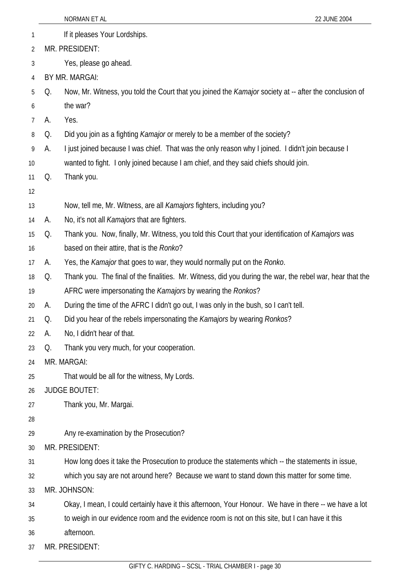|    |    | NORMAN ET AL<br>22 JUNE 2004                                                                                  |
|----|----|---------------------------------------------------------------------------------------------------------------|
| 1  |    | If it pleases Your Lordships.                                                                                 |
| 2  |    | MR. PRESIDENT:                                                                                                |
| 3  |    | Yes, please go ahead.                                                                                         |
| 4  |    | BY MR. MARGAI:                                                                                                |
| 5  | Q. | Now, Mr. Witness, you told the Court that you joined the <i>Kamajor</i> society at -- after the conclusion of |
| 6  |    | the war?                                                                                                      |
| 7  | А. | Yes.                                                                                                          |
| 8  | Q. | Did you join as a fighting <i>Kamajor</i> or merely to be a member of the society?                            |
| 9  | А. | I just joined because I was chief. That was the only reason why I joined. I didn't join because I             |
| 10 |    | wanted to fight. I only joined because I am chief, and they said chiefs should join.                          |
| 11 | Q. | Thank you.                                                                                                    |
| 12 |    |                                                                                                               |
| 13 |    | Now, tell me, Mr. Witness, are all Kamajors fighters, including you?                                          |
| 14 | А. | No, it's not all <i>Kamajors</i> that are fighters.                                                           |
| 15 | Q. | Thank you. Now, finally, Mr. Witness, you told this Court that your identification of <i>Kamajors</i> was     |
| 16 |    | based on their attire, that is the Ronko?                                                                     |
| 17 | A. | Yes, the Kamajor that goes to war, they would normally put on the Ronko.                                      |
| 18 | Q. | Thank you. The final of the finalities. Mr. Witness, did you during the war, the rebel war, hear that the     |
| 19 |    | AFRC were impersonating the Kamajors by wearing the Ronkos?                                                   |
| 20 | А. | During the time of the AFRC I didn't go out, I was only in the bush, so I can't tell.                         |
| 21 | Q. | Did you hear of the rebels impersonating the Kamajors by wearing Ronkos?                                      |
| 22 | А. | No, I didn't hear of that.                                                                                    |
| 23 | Q. | Thank you very much, for your cooperation.                                                                    |
| 24 |    | MR. MARGAI:                                                                                                   |
| 25 |    | That would be all for the witness, My Lords.                                                                  |
| 26 |    | <b>JUDGE BOUTET:</b>                                                                                          |
| 27 |    | Thank you, Mr. Margai.                                                                                        |
| 28 |    |                                                                                                               |
| 29 |    | Any re-examination by the Prosecution?                                                                        |
| 30 |    | MR. PRESIDENT:                                                                                                |
| 31 |    | How long does it take the Prosecution to produce the statements which -- the statements in issue,             |
| 32 |    | which you say are not around here? Because we want to stand down this matter for some time.                   |
| 33 |    | MR. JOHNSON:                                                                                                  |
| 34 |    | Okay, I mean, I could certainly have it this afternoon, Your Honour. We have in there -- we have a lot        |
| 35 |    | to weigh in our evidence room and the evidence room is not on this site, but I can have it this               |
| 36 |    | afternoon.                                                                                                    |
| 37 |    | MR. PRESIDENT:                                                                                                |
|    |    |                                                                                                               |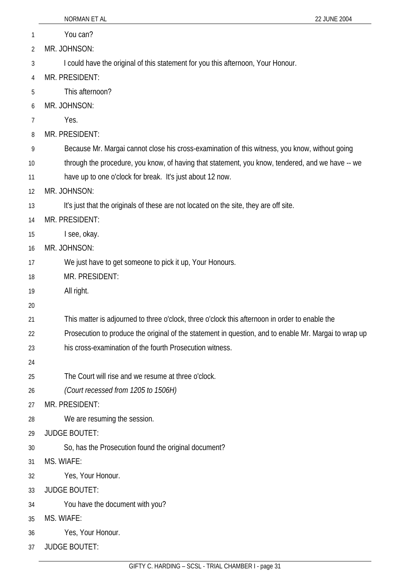|    | NORMAN ET AL<br>22 JUNE 2004                                                                          |
|----|-------------------------------------------------------------------------------------------------------|
| 1  | You can?                                                                                              |
| 2  | MR. JOHNSON:                                                                                          |
| 3  | I could have the original of this statement for you this afternoon, Your Honour.                      |
| 4  | MR. PRESIDENT:                                                                                        |
| 5  | This afternoon?                                                                                       |
| 6  | MR. JOHNSON:                                                                                          |
| 7  | Yes.                                                                                                  |
| 8  | MR. PRESIDENT:                                                                                        |
| 9  | Because Mr. Margai cannot close his cross-examination of this witness, you know, without going        |
| 10 | through the procedure, you know, of having that statement, you know, tendered, and we have -- we      |
| 11 | have up to one o'clock for break. It's just about 12 now.                                             |
| 12 | MR. JOHNSON:                                                                                          |
| 13 | It's just that the originals of these are not located on the site, they are off site.                 |
| 14 | MR. PRESIDENT:                                                                                        |
| 15 | I see, okay.                                                                                          |
| 16 | MR. JOHNSON:                                                                                          |
| 17 | We just have to get someone to pick it up, Your Honours.                                              |
| 18 | MR. PRESIDENT:                                                                                        |
| 19 | All right.                                                                                            |
| 20 |                                                                                                       |
| 21 | This matter is adjourned to three o'clock, three o'clock this afternoon in order to enable the        |
| 22 | Prosecution to produce the original of the statement in question, and to enable Mr. Margai to wrap up |
| 23 | his cross-examination of the fourth Prosecution witness.                                              |
| 24 |                                                                                                       |
| 25 | The Court will rise and we resume at three o'clock.                                                   |
| 26 | (Court recessed from 1205 to 1506H)                                                                   |
| 27 | MR. PRESIDENT:                                                                                        |
| 28 | We are resuming the session.                                                                          |
| 29 | <b>JUDGE BOUTET:</b>                                                                                  |
| 30 | So, has the Prosecution found the original document?                                                  |
| 31 | MS. WIAFE:                                                                                            |
| 32 | Yes, Your Honour.                                                                                     |
| 33 | <b>JUDGE BOUTET:</b>                                                                                  |
| 34 | You have the document with you?                                                                       |
| 35 | MS. WIAFE:                                                                                            |
| 36 | Yes, Your Honour.                                                                                     |
| 37 | <b>JUDGE BOUTET:</b>                                                                                  |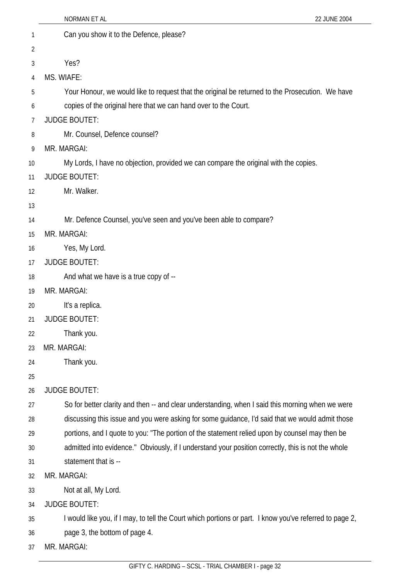|                | NORMAN ET AL<br>22 JUNE 2004                                                                            |
|----------------|---------------------------------------------------------------------------------------------------------|
| 1              | Can you show it to the Defence, please?                                                                 |
| $\overline{2}$ |                                                                                                         |
| 3              | Yes?                                                                                                    |
| 4              | MS. WIAFE:                                                                                              |
| 5              | Your Honour, we would like to request that the original be returned to the Prosecution. We have         |
| 6              | copies of the original here that we can hand over to the Court.                                         |
| 7              | <b>JUDGE BOUTET:</b>                                                                                    |
| 8              | Mr. Counsel, Defence counsel?                                                                           |
| 9              | MR. MARGAI:                                                                                             |
| 10             | My Lords, I have no objection, provided we can compare the original with the copies.                    |
| 11             | <b>JUDGE BOUTET:</b>                                                                                    |
| 12             | Mr. Walker.                                                                                             |
| 13             |                                                                                                         |
| 14             | Mr. Defence Counsel, you've seen and you've been able to compare?                                       |
| 15             | MR. MARGAI:                                                                                             |
| 16             | Yes, My Lord.                                                                                           |
| 17             | <b>JUDGE BOUTET:</b>                                                                                    |
| 18             | And what we have is a true copy of --                                                                   |
| 19             | MR. MARGAI:                                                                                             |
| 20             | It's a replica.                                                                                         |
| 21             | <b>JUDGE BOUTET:</b>                                                                                    |
| 22             | Thank you.                                                                                              |
| 23             | MR. MARGAI:                                                                                             |
| 24             | Thank you.                                                                                              |
| 25             |                                                                                                         |
| 26             | <b>JUDGE BOUTET:</b>                                                                                    |
| 27             | So for better clarity and then -- and clear understanding, when I said this morning when we were        |
| 28             | discussing this issue and you were asking for some guidance, I'd said that we would admit those         |
| 29             | portions, and I quote to you: "The portion of the statement relied upon by counsel may then be          |
| 30             | admitted into evidence." Obviously, if I understand your position correctly, this is not the whole      |
| 31             | statement that is --                                                                                    |
| 32             | MR. MARGAI:                                                                                             |
| 33             | Not at all, My Lord.                                                                                    |
| 34             | <b>JUDGE BOUTET:</b>                                                                                    |
| 35             | I would like you, if I may, to tell the Court which portions or part. I know you've referred to page 2, |
| 36             | page 3, the bottom of page 4.                                                                           |
| 37             | MR. MARGAI:                                                                                             |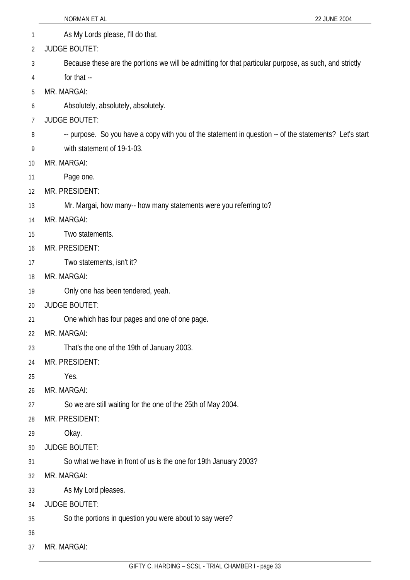|    | NORMAN ET AL<br>22 JUNE 2004                                                                           |
|----|--------------------------------------------------------------------------------------------------------|
| 1  | As My Lords please, I'll do that.                                                                      |
| 2  | <b>JUDGE BOUTET:</b>                                                                                   |
| 3  | Because these are the portions we will be admitting for that particular purpose, as such, and strictly |
| 4  | for that --                                                                                            |
| 5  | MR. MARGAI:                                                                                            |
| 6  | Absolutely, absolutely, absolutely.                                                                    |
| 7  | <b>JUDGE BOUTET:</b>                                                                                   |
| 8  | -- purpose. So you have a copy with you of the statement in question -- of the statements? Let's start |
| 9  | with statement of 19-1-03.                                                                             |
| 10 | MR. MARGAI:                                                                                            |
| 11 | Page one.                                                                                              |
| 12 | MR. PRESIDENT:                                                                                         |
| 13 | Mr. Margai, how many-- how many statements were you referring to?                                      |
| 14 | MR. MARGAI:                                                                                            |
| 15 | Two statements.                                                                                        |
| 16 | MR. PRESIDENT:                                                                                         |
| 17 | Two statements, isn't it?                                                                              |
| 18 | MR. MARGAI:                                                                                            |
| 19 | Only one has been tendered, yeah.                                                                      |
| 20 | <b>JUDGE BOUTET:</b>                                                                                   |
| 21 | One which has four pages and one of one page.                                                          |
| 22 | MR. MARGAI:                                                                                            |
| 23 | That's the one of the 19th of January 2003.                                                            |
| 24 | MR. PRESIDENT:                                                                                         |
| 25 | Yes.                                                                                                   |
| 26 | MR. MARGAI:                                                                                            |
| 27 | So we are still waiting for the one of the 25th of May 2004.                                           |
| 28 | MR. PRESIDENT:                                                                                         |
| 29 | Okay.                                                                                                  |
| 30 | <b>JUDGE BOUTET:</b>                                                                                   |
| 31 | So what we have in front of us is the one for 19th January 2003?                                       |
| 32 | MR. MARGAI:                                                                                            |
| 33 | As My Lord pleases.                                                                                    |
| 34 | <b>JUDGE BOUTET:</b>                                                                                   |
| 35 | So the portions in question you were about to say were?                                                |
| 36 |                                                                                                        |
| 37 | MR. MARGAI:                                                                                            |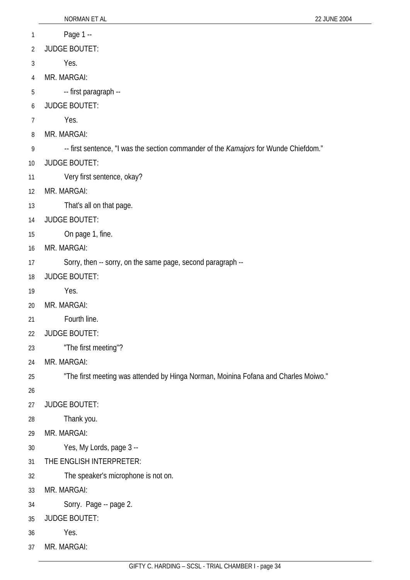- 1 Page 1 --
- 2 JUDGE BOUTET:
- 3 Yes.
- 4 MR. MARGAI:
- 5 -- first paragraph --
- 6 JUDGE BOUTET:
- 7 Yes.
- 8 MR. MARGAI:
- 9 -- first sentence, "I was the section commander of the *Kamajors* for Wunde Chiefdom."
- 10 JUDGE BOUTET:
- 11 Very first sentence, okay?
- 12 MR. MARGAI:
- 13 That's all on that page.
- 14 JUDGE BOUTET:
- 15 On page 1, fine.
- 16 MR. MARGAI:
- 17 Sorry, then -- sorry, on the same page, second paragraph --
- 18 JUDGE BOUTET:
- 19 Yes.
- 20 MR. MARGAI:
- 21 Fourth line.
- 22 JUDGE BOUTET:
- 23 "The first meeting"?
- 24 MR. MARGAI:
- 25 "The first meeting was attended by Hinga Norman, Moinina Fofana and Charles Moiwo."
- 26
- 27 JUDGE BOUTET:
- 28 Thank you.
- 29 MR. MARGAI:
- 30 Yes, My Lords, page 3 --
- 31 THE ENGLISH INTERPRETER:
- 32 The speaker's microphone is not on.
- 33 MR. MARGAI:
- 34 Sorry. Page -- page 2.
- 35 JUDGE BOUTET:
- 36 Yes.
- 37 MR. MARGAI: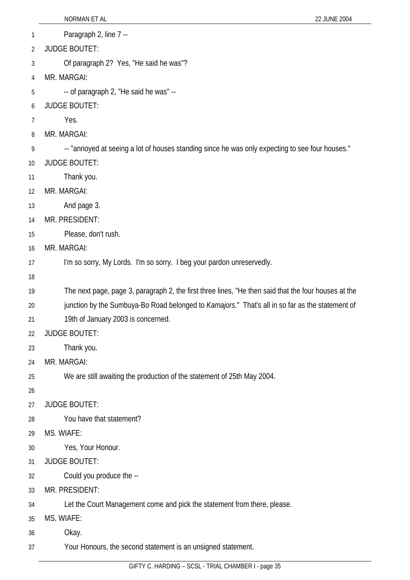- 1 Paragraph 2, line 7 --
- 2 JUDGE BOUTET:
- 3 Of paragraph 2? Yes, "He said he was"?
- 4 MR. MARGAI:
- 5 -- of paragraph 2, "He said he was" --
- 6 JUDGE BOUTET:
- 7 Yes.
- 8 MR. MARGAI:
- 9 -- "annoyed at seeing a lot of houses standing since he was only expecting to see four houses."
- 10 JUDGE BOUTET:
- 11 Thank you.
- 12 MR. MARGAI:
- 13 And page 3.
- 14 MR. PRESIDENT:
- 15 Please, don't rush.
- 16 MR. MARGAI:
- 17 I'm so sorry, My Lords. I'm so sorry. I beg your pardon unreservedly.
- 18
- 19 The next page, page 3, paragraph 2, the first three lines, "He then said that the four houses at the
- 20 junction by the Sumbuya-Bo Road belonged to *Kamajors*." That's all in so far as the statement of
- 21 19th of January 2003 is concerned.
- 22 JUDGE BOUTET:
- 23 Thank you.
- 24 MR. MARGAI:
- 25 We are still awaiting the production of the statement of 25th May 2004.
- 26
- 27 JUDGE BOUTET:
- 28 You have that statement?
- 29 MS. WIAFE:
- 30 Yes, Your Honour.
- 31 JUDGE BOUTET:
- 32 Could you produce the --
- 33 MR. PRESIDENT:
- 34 Let the Court Management come and pick the statement from there, please.
- 35 MS. WIAFE:
- 36 Okay.
- 37 Your Honours, the second statement is an unsigned statement.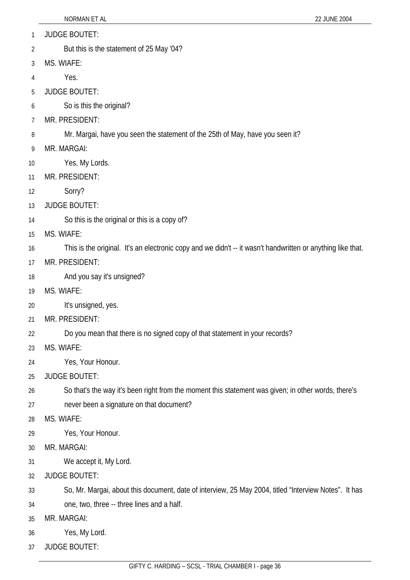- 1 JUDGE BOUTET:
- 2 But this is the statement of 25 May '04?
- 3 MS. WIAFE:
- 4 Yes.
- 5 JUDGE BOUTET:
- 6 So is this the original?
- 7 MR. PRESIDENT:
- 8 Mr. Margai, have you seen the statement of the 25th of May, have you seen it?
- 9 MR. MARGAI:
- 10 Yes, My Lords.
- 11 MR. PRESIDENT:
- 12 Sorry?
- 13 JUDGE BOUTET:
- 14 So this is the original or this is a copy of?
- 15 MS. WIAFE:
- 16 This is the original. It's an electronic copy and we didn't -- it wasn't handwritten or anything like that.
- 17 MR. PRESIDENT:
- 18 And you say it's unsigned?
- 19 MS. WIAFE:
- 20 It's unsigned, yes.
- 21 MR. PRESIDENT:
- 22 Do you mean that there is no signed copy of that statement in your records?
- 23 MS. WIAFE:
- 24 Yes, Your Honour.
- 25 JUDGE BOUTET:
- 26 So that's the way it's been right from the moment this statement was given; in other words, there's
- 27 never been a signature on that document?
- 28 MS. WIAFE:
- 29 Yes, Your Honour.
- 30 MR. MARGAI:
- 31 We accept it, My Lord.
- 32 JUDGE BOUTET:
- 33 So, Mr. Margai, about this document, date of interview, 25 May 2004, titled "Interview Notes". It has
- 34 one, two, three -- three lines and a half.
- 35 MR. MARGAI:
- 36 Yes, My Lord.
- 37 JUDGE BOUTET: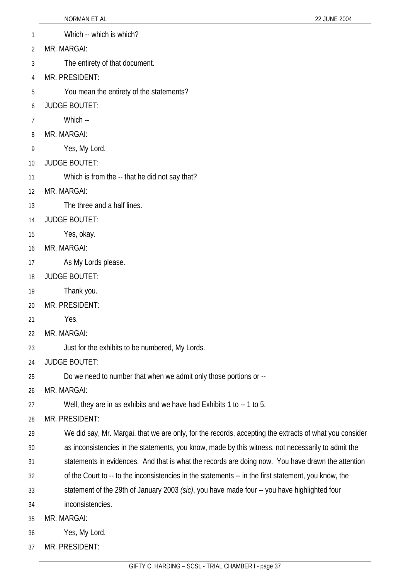- 1 Which -- which is which?
- 2 MR. MARGAI:
- 3 The entirety of that document.
- 4 MR. PRESIDENT:
- 5 You mean the entirety of the statements?
- 6 JUDGE BOUTET:
- 7 Which --
- 8 MR. MARGAI:
- 9 Yes, My Lord.
- 10 JUDGE BOUTET:
- 11 Which is from the -- that he did not say that?
- 12 MR. MARGAI:
- 13 The three and a half lines.
- 14 JUDGE BOUTET:
- 15 Yes, okay.
- 16 MR. MARGAI:
- 17 As My Lords please.
- 18 JUDGE BOUTET:
- 19 Thank you.
- 20 MR. PRESIDENT:
- 21 Yes.
- 22 MR. MARGAI:
- 23 Just for the exhibits to be numbered, My Lords.
- 24 JUDGE BOUTET:
- 25 Do we need to number that when we admit only those portions or --
- 26 MR. MARGAI:
- 27 Well, they are in as exhibits and we have had Exhibits 1 to -- 1 to 5.
- 28 MR. PRESIDENT:
- 29 We did say, Mr. Margai, that we are only, for the records, accepting the extracts of what you consider
- 30 as inconsistencies in the statements, you know, made by this witness, not necessarily to admit the
- 31 statements in evidences. And that is what the records are doing now. You have drawn the attention
- 32 of the Court to -- to the inconsistencies in the statements -- in the first statement, you know, the
- 33 statement of the 29th of January 2003 *(sic)*, you have made four -- you have highlighted four
- 34 inconsistencies.
- 35 MR. MARGAI:
- 36 Yes, My Lord.
- 37 MR. PRESIDENT: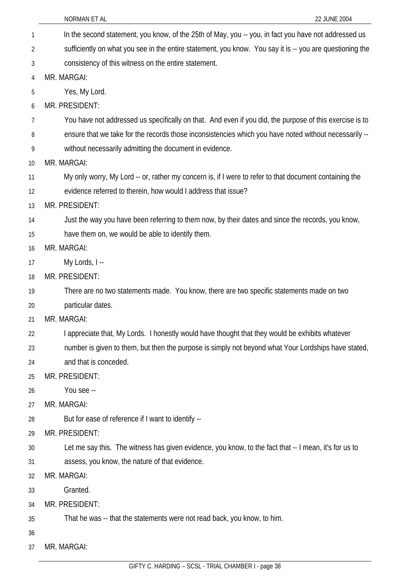| $\overline{1}$ | In the second statement, you know, of the 25th of May, you -- you, in fact you have not addressed us     |
|----------------|----------------------------------------------------------------------------------------------------------|
| 2              | sufficiently on what you see in the entire statement, you know. You say it is -- you are questioning the |
| 3              | consistency of this witness on the entire statement.                                                     |
| $\overline{4}$ | MR. MARGAI:                                                                                              |
| 5              | Yes, My Lord.                                                                                            |
| 6              | MR. PRESIDENT:                                                                                           |
| $\overline{7}$ | You have not addressed us specifically on that. And even if you did, the purpose of this exercise is to  |
| 8              | ensure that we take for the records those inconsistencies which you have noted without necessarily --    |
| 9              | without necessarily admitting the document in evidence.                                                  |
| 10             | MR. MARGAI:                                                                                              |
| 11             | My only worry, My Lord -- or, rather my concern is, if I were to refer to that document containing the   |
| 12             | evidence referred to therein, how would I address that issue?                                            |
| 13             | MR. PRESIDENT:                                                                                           |
| 14             | Just the way you have been referring to them now, by their dates and since the records, you know,        |
| 15             | have them on, we would be able to identify them.                                                         |
| 16             | MR. MARGAI:                                                                                              |
| 17             | My Lords, I --                                                                                           |
| 18             | MR. PRESIDENT:                                                                                           |
| 19             | There are no two statements made. You know, there are two specific statements made on two                |
| 20             | particular dates.                                                                                        |
| 21             | MR. MARGAI:                                                                                              |
| 22             | I appreciate that, My Lords. I honestly would have thought that they would be exhibits whatever          |
| 23             | number is given to them, but then the purpose is simply not beyond what Your Lordships have stated,      |
| 24             | and that is conceded.                                                                                    |
| 25             | MR. PRESIDENT:                                                                                           |
| 26             | You see --                                                                                               |
| 27             | MR. MARGAI:                                                                                              |
| 28             | But for ease of reference if I want to identify --                                                       |
| 29             | MR. PRESIDENT:                                                                                           |
| 30             | Let me say this. The witness has given evidence, you know, to the fact that -- I mean, it's for us to    |
| 31             | assess, you know, the nature of that evidence.                                                           |
| 32             | MR. MARGAI:                                                                                              |
| 33             | Granted.                                                                                                 |
| 34             | MR. PRESIDENT:                                                                                           |
| 35             | That he was -- that the statements were not read back, you know, to him.                                 |
| 36             |                                                                                                          |
| 37             | MR. MARGAI:                                                                                              |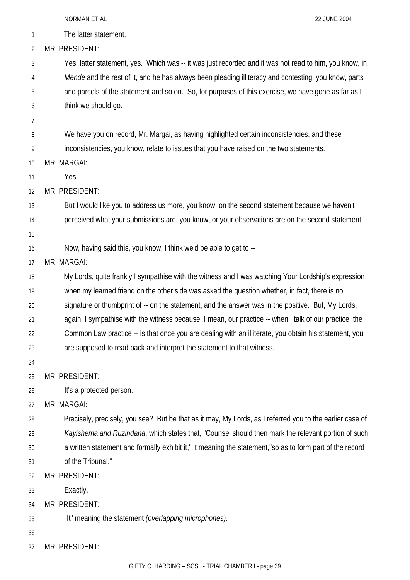|              | 22 JUNE 2004<br>NORMAN ET AL                                                                             |
|--------------|----------------------------------------------------------------------------------------------------------|
| $\mathbf{1}$ | The latter statement.                                                                                    |
| 2            | MR. PRESIDENT:                                                                                           |
| 3            | Yes, latter statement, yes. Which was -- it was just recorded and it was not read to him, you know, in   |
| 4            | Mende and the rest of it, and he has always been pleading illiteracy and contesting, you know, parts     |
| 5            | and parcels of the statement and so on. So, for purposes of this exercise, we have gone as far as I      |
| 6            | think we should go.                                                                                      |
| 7            |                                                                                                          |
| 8            | We have you on record, Mr. Margai, as having highlighted certain inconsistencies, and these              |
| 9            | inconsistencies, you know, relate to issues that you have raised on the two statements.                  |
| 10           | MR. MARGAI:                                                                                              |
| 11           | Yes.                                                                                                     |
| 12           | MR. PRESIDENT:                                                                                           |
| 13           | But I would like you to address us more, you know, on the second statement because we haven't            |
| 14           | perceived what your submissions are, you know, or your observations are on the second statement.         |
| 15           |                                                                                                          |
| 16           | Now, having said this, you know, I think we'd be able to get to --                                       |
| 17           | MR. MARGAI:                                                                                              |
| 18           | My Lords, quite frankly I sympathise with the witness and I was watching Your Lordship's expression      |
| 19           | when my learned friend on the other side was asked the question whether, in fact, there is no            |
| 20           | signature or thumbprint of -- on the statement, and the answer was in the positive. But, My Lords,       |
| 21           | again, I sympathise with the witness because, I mean, our practice -- when I talk of our practice, the   |
| 22           | Common Law practice -- is that once you are dealing with an illiterate, you obtain his statement, you    |
| 23           | are supposed to read back and interpret the statement to that witness.                                   |
| 24           |                                                                                                          |
| 25           | MR. PRESIDENT:                                                                                           |
| 26           | It's a protected person.                                                                                 |
| 27           | MR. MARGAI:                                                                                              |
| 28           | Precisely, precisely, you see? But be that as it may, My Lords, as I referred you to the earlier case of |
| 29           | Kayishema and Ruzindana, which states that, "Counsel should then mark the relevant portion of such       |
| 30           | a written statement and formally exhibit it," it meaning the statement,"so as to form part of the record |
| 31           | of the Tribunal."                                                                                        |
| 32           | MR. PRESIDENT:                                                                                           |
| 33           | Exactly.                                                                                                 |
| 34           | MR. PRESIDENT:                                                                                           |
| 35           | "It" meaning the statement (overlapping microphones).                                                    |
| 36           |                                                                                                          |
| 37           | MR. PRESIDENT:                                                                                           |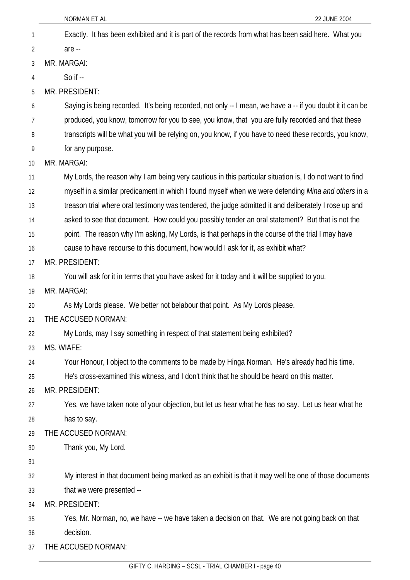| 1  | Exactly. It has been exhibited and it is part of the records from what has been said here. What you       |
|----|-----------------------------------------------------------------------------------------------------------|
| 2  | are --                                                                                                    |
| 3  | MR. MARGAI:                                                                                               |
| 4  | So if $-$                                                                                                 |
| 5  | MR. PRESIDENT:                                                                                            |
| 6  | Saying is being recorded. It's being recorded, not only -- I mean, we have a -- if you doubt it it can be |
| 7  | produced, you know, tomorrow for you to see, you know, that you are fully recorded and that these         |
| 8  | transcripts will be what you will be relying on, you know, if you have to need these records, you know,   |
| 9  | for any purpose.                                                                                          |
| 10 | MR. MARGAI:                                                                                               |
| 11 | My Lords, the reason why I am being very cautious in this particular situation is, I do not want to find  |
| 12 | myself in a similar predicament in which I found myself when we were defending Mina and others in a       |
| 13 | treason trial where oral testimony was tendered, the judge admitted it and deliberately I rose up and     |
| 14 | asked to see that document. How could you possibly tender an oral statement? But that is not the          |
| 15 | point. The reason why I'm asking, My Lords, is that perhaps in the course of the trial I may have         |
| 16 | cause to have recourse to this document, how would I ask for it, as exhibit what?                         |
| 17 | MR. PRESIDENT:                                                                                            |
| 18 | You will ask for it in terms that you have asked for it today and it will be supplied to you.             |
| 19 | MR. MARGAI:                                                                                               |
| 20 | As My Lords please. We better not belabour that point. As My Lords please.                                |
| 21 | THE ACCUSED NORMAN:                                                                                       |
| 22 | My Lords, may I say something in respect of that statement being exhibited?                               |
| 23 | MS. WIAFE:                                                                                                |
| 24 | Your Honour, I object to the comments to be made by Hinga Norman. He's already had his time.              |
| 25 | He's cross-examined this witness, and I don't think that he should be heard on this matter.               |
| 26 | MR. PRESIDENT:                                                                                            |
| 27 | Yes, we have taken note of your objection, but let us hear what he has no say. Let us hear what he        |
| 28 | has to say.                                                                                               |
| 29 | THE ACCUSED NORMAN:                                                                                       |
| 30 | Thank you, My Lord.                                                                                       |
| 31 |                                                                                                           |
| 32 | My interest in that document being marked as an exhibit is that it may well be one of those documents     |
| 33 | that we were presented --                                                                                 |
| 34 | MR. PRESIDENT:                                                                                            |
| 35 | Yes, Mr. Norman, no, we have -- we have taken a decision on that. We are not going back on that           |
| 36 | decision.                                                                                                 |
| 37 | THE ACCUSED NORMAN:                                                                                       |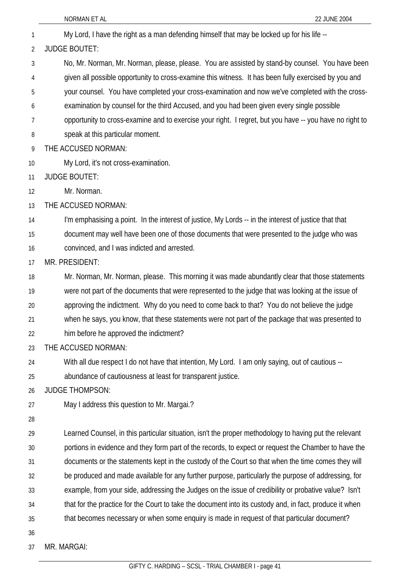- 1 My Lord, I have the right as a man defending himself that may be locked up for his life -- 2 3 4 5 6 7 8 9 10 11 12 13 14 15 16 17 18 19 20 21 22 23 24 25 26 27 28 29 30 31 32 33 34 35 JUDGE BOUTET: No, Mr. Norman, Mr. Norman, please, please. You are assisted by stand-by counsel. You have been given all possible opportunity to cross-examine this witness. It has been fully exercised by you and your counsel. You have completed your cross-examination and now we've completed with the crossexamination by counsel for the third Accused, and you had been given every single possible opportunity to cross-examine and to exercise your right. I regret, but you have -- you have no right to speak at this particular moment. THE ACCUSED NORMAN: My Lord, it's not cross-examination. JUDGE BOUTET: Mr. Norman. THE ACCUSED NORMAN: I'm emphasising a point. In the interest of justice, My Lords -- in the interest of justice that that document may well have been one of those documents that were presented to the judge who was convinced, and I was indicted and arrested. MR. PRESIDENT: Mr. Norman, Mr. Norman, please. This morning it was made abundantly clear that those statements were not part of the documents that were represented to the judge that was looking at the issue of approving the indictment. Why do you need to come back to that? You do not believe the judge when he says, you know, that these statements were not part of the package that was presented to him before he approved the indictment? THE ACCUSED NORMAN: With all due respect I do not have that intention, My Lord. I am only saying, out of cautious -abundance of cautiousness at least for transparent justice. JUDGE THOMPSON: May I address this question to Mr. Margai.? Learned Counsel, in this particular situation, isn't the proper methodology to having put the relevant portions in evidence and they form part of the records, to expect or request the Chamber to have the documents or the statements kept in the custody of the Court so that when the time comes they will be produced and made available for any further purpose, particularly the purpose of addressing, for example, from your side, addressing the Judges on the issue of credibility or probative value? Isn't that for the practice for the Court to take the document into its custody and, in fact, produce it when that becomes necessary or when some enquiry is made in request of that particular document?
- 36

37 MR. MARGAI: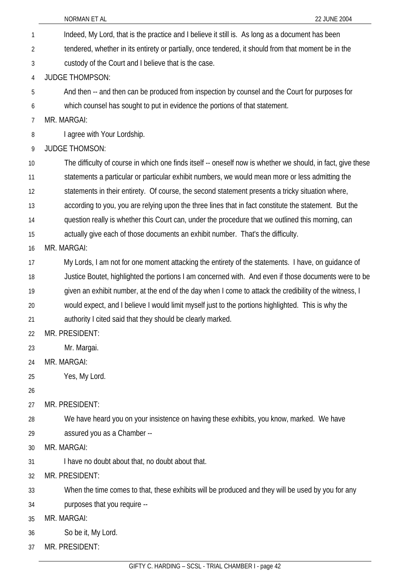|                | NORMAN ET AL<br>22 JUNE 2004                                                                                |  |
|----------------|-------------------------------------------------------------------------------------------------------------|--|
| 1              | Indeed, My Lord, that is the practice and I believe it still is. As long as a document has been             |  |
| $\overline{2}$ | tendered, whether in its entirety or partially, once tendered, it should from that moment be in the         |  |
| 3              | custody of the Court and I believe that is the case.                                                        |  |
| 4              | <b>JUDGE THOMPSON:</b>                                                                                      |  |
| 5              | And then -- and then can be produced from inspection by counsel and the Court for purposes for              |  |
| 6              | which counsel has sought to put in evidence the portions of that statement.                                 |  |
| 7              | MR. MARGAI:                                                                                                 |  |
| 8              | I agree with Your Lordship.                                                                                 |  |
| 9              | <b>JUDGE THOMSON:</b>                                                                                       |  |
| 10             | The difficulty of course in which one finds itself -- oneself now is whether we should, in fact, give these |  |
| 11             | statements a particular or particular exhibit numbers, we would mean more or less admitting the             |  |
| 12             | statements in their entirety. Of course, the second statement presents a tricky situation where,            |  |
| 13             | according to you, you are relying upon the three lines that in fact constitute the statement. But the       |  |
| 14             | question really is whether this Court can, under the procedure that we outlined this morning, can           |  |
| 15             | actually give each of those documents an exhibit number. That's the difficulty.                             |  |
| 16             | MR. MARGAI:                                                                                                 |  |
| 17             | My Lords, I am not for one moment attacking the entirety of the statements. I have, on guidance of          |  |
| 18             | Justice Boutet, highlighted the portions I am concerned with. And even if those documents were to be        |  |
| 19             | given an exhibit number, at the end of the day when I come to attack the credibility of the witness, I      |  |
| 20             | would expect, and I believe I would limit myself just to the portions highlighted. This is why the          |  |
| 21             | authority I cited said that they should be clearly marked.                                                  |  |
| 22             | MR. PRESIDENT:                                                                                              |  |
| 23             | Mr. Margai.                                                                                                 |  |
| 24             | MR. MARGAI:                                                                                                 |  |
| 25             | Yes, My Lord.                                                                                               |  |
| 26             |                                                                                                             |  |
| 27             | MR. PRESIDENT:                                                                                              |  |
| 28             | We have heard you on your insistence on having these exhibits, you know, marked. We have                    |  |
| 29             | assured you as a Chamber --                                                                                 |  |
| 30             | MR. MARGAI:                                                                                                 |  |
| 31             | I have no doubt about that, no doubt about that.                                                            |  |
| 32<br>$\sim$   | MR. PRESIDENT:<br>time comes to that these oublite will be produced and thou will be used by                |  |

- 33 When the time comes to that, these exhibits will be produced and they will be used by you for any
	- 34 purposes that you require --
	- 35 MR. MARGAI:
	- 36 So be it, My Lord.
	- 37 MR. PRESIDENT: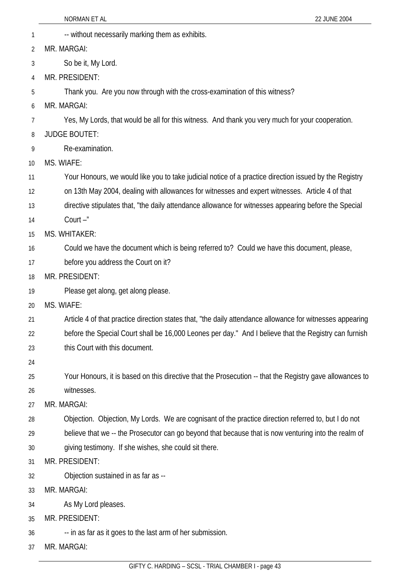- 1 --- without necessarily marking them as exhibits. 2 MR. MARGAI:
- 3 So be it, My Lord.
- 4 MR. PRESIDENT:

5 Thank you. Are you now through with the cross-examination of this witness?

6 MR. MARGAI:

7 Yes, My Lords, that would be all for this witness. And thank you very much for your cooperation.

- 8 JUDGE BOUTET:
- 9 Re-examination.
- 10 MS. WIAFE:

11 Your Honours, we would like you to take judicial notice of a practice direction issued by the Registry

- 12 on 13th May 2004, dealing with allowances for witnesses and expert witnesses. Article 4 of that
- 13 directive stipulates that, "the daily attendance allowance for witnesses appearing before the Special
- 14 Court –"
- 15 MS. WHITAKER:
- 16 Could we have the document which is being referred to? Could we have this document, please,
- 17 before you address the Court on it?
- 18 MR. PRESIDENT:
- 19 Please get along, get along please.
- 20 MS. WIAFE:
- 21 Article 4 of that practice direction states that, "the daily attendance allowance for witnesses appearing
- 22 23 before the Special Court shall be 16,000 Leones per day." And I believe that the Registry can furnish this Court with this document.
- 24
- 25 26 Your Honours, it is based on this directive that the Prosecution -- that the Registry gave allowances to witnesses.
- 27 MR. MARGAI:
- 28 Objection. Objection, My Lords. We are cognisant of the practice direction referred to, but I do not
- 29 believe that we -- the Prosecutor can go beyond that because that is now venturing into the realm of
- 30 giving testimony. If she wishes, she could sit there.
- 31 MR. PRESIDENT:
- 32 Objection sustained in as far as --
- 33 MR. MARGAI:
- 34 As My Lord pleases.
- 35 MR. PRESIDENT:
- 36 -- in as far as it goes to the last arm of her submission.
- 37 MR. MARGAI: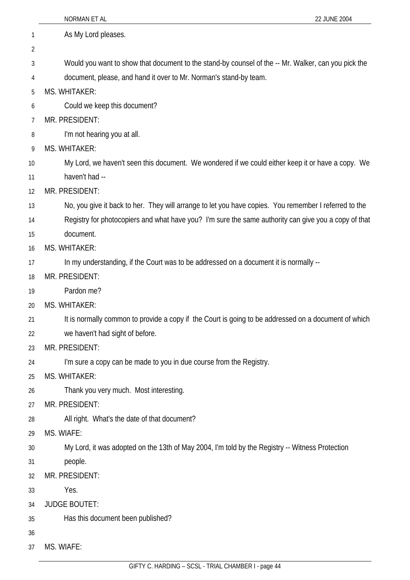|    | NORMAN ET AL<br>22 JUNE 2004                                                                          |
|----|-------------------------------------------------------------------------------------------------------|
| 1  | As My Lord pleases.                                                                                   |
| 2  |                                                                                                       |
| 3  | Would you want to show that document to the stand-by counsel of the -- Mr. Walker, can you pick the   |
| 4  | document, please, and hand it over to Mr. Norman's stand-by team.                                     |
| 5  | <b>MS. WHITAKER:</b>                                                                                  |
| 6  | Could we keep this document?                                                                          |
| 7  | MR. PRESIDENT:                                                                                        |
| 8  | I'm not hearing you at all.                                                                           |
| 9  | MS. WHITAKER:                                                                                         |
| 10 | My Lord, we haven't seen this document. We wondered if we could either keep it or have a copy. We     |
| 11 | haven't had --                                                                                        |
| 12 | MR. PRESIDENT:                                                                                        |
| 13 | No, you give it back to her. They will arrange to let you have copies. You remember I referred to the |
| 14 | Registry for photocopiers and what have you? I'm sure the same authority can give you a copy of that  |
| 15 | document.                                                                                             |
| 16 | MS. WHITAKER:                                                                                         |
| 17 | In my understanding, if the Court was to be addressed on a document it is normally --                 |
| 18 | MR. PRESIDENT:                                                                                        |
| 19 | Pardon me?                                                                                            |
| 20 | MS. WHITAKER:                                                                                         |
| 21 | It is normally common to provide a copy if the Court is going to be addressed on a document of which  |
| 22 | we haven't had sight of before.                                                                       |
| 23 | MR. PRESIDENT:                                                                                        |
| 24 | I'm sure a copy can be made to you in due course from the Registry.                                   |
| 25 | MS. WHITAKER:                                                                                         |
| 26 | Thank you very much. Most interesting.                                                                |
| 27 | MR. PRESIDENT:                                                                                        |
| 28 | All right. What's the date of that document?                                                          |
| 29 | MS. WIAFE:                                                                                            |
| 30 | My Lord, it was adopted on the 13th of May 2004, I'm told by the Registry -- Witness Protection       |
| 31 | people.                                                                                               |
| 32 | MR. PRESIDENT:                                                                                        |
| 33 | Yes.                                                                                                  |
| 34 | <b>JUDGE BOUTET:</b>                                                                                  |
| 35 | Has this document been published?                                                                     |
| 36 |                                                                                                       |

GIFTY C. HARDING – SCSL - TRIAL CHAMBER I - page 44

37 MS. WIAFE: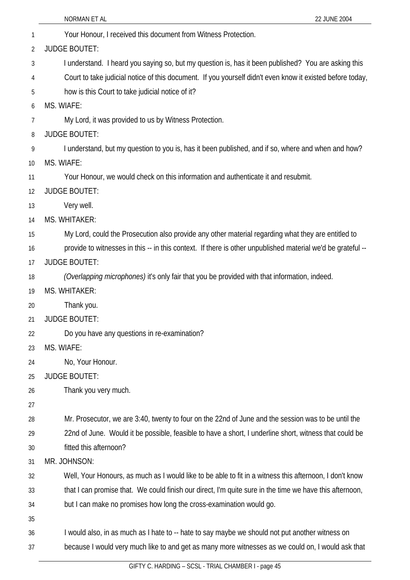|    | 22 JUNE 2004<br>NORMAN ET AL                                                                                |
|----|-------------------------------------------------------------------------------------------------------------|
| 1  | Your Honour, I received this document from Witness Protection.                                              |
| 2  | <b>JUDGE BOUTET:</b>                                                                                        |
| 3  | I understand. I heard you saying so, but my question is, has it been published? You are asking this         |
| 4  | Court to take judicial notice of this document. If you yourself didn't even know it existed before today,   |
| 5  | how is this Court to take judicial notice of it?                                                            |
| 6  | MS. WIAFE:                                                                                                  |
| 7  | My Lord, it was provided to us by Witness Protection.                                                       |
| 8  | <b>JUDGE BOUTET:</b>                                                                                        |
| 9  | I understand, but my question to you is, has it been published, and if so, where and when and how?          |
| 10 | MS. WIAFE:                                                                                                  |
| 11 | Your Honour, we would check on this information and authenticate it and resubmit.                           |
| 12 | <b>JUDGE BOUTET:</b>                                                                                        |
| 13 | Very well.                                                                                                  |
| 14 | MS. WHITAKER:                                                                                               |
| 15 | My Lord, could the Prosecution also provide any other material regarding what they are entitled to          |
| 16 | provide to witnesses in this -- in this context. If there is other unpublished material we'd be grateful -- |
| 17 | <b>JUDGE BOUTET:</b>                                                                                        |
| 18 | (Overlapping microphones) it's only fair that you be provided with that information, indeed.                |
| 19 | MS. WHITAKER:                                                                                               |
| 20 | Thank you.                                                                                                  |
| 21 | <b>JUDGE BOUTET:</b>                                                                                        |
| 22 | Do you have any questions in re-examination?                                                                |
| 23 | MS. WIAFE:                                                                                                  |
| 24 | No, Your Honour.                                                                                            |
| 25 | <b>JUDGE BOUTET:</b>                                                                                        |
| 26 | Thank you very much.                                                                                        |
| 27 |                                                                                                             |
| 28 | Mr. Prosecutor, we are 3:40, twenty to four on the 22nd of June and the session was to be until the         |
| 29 | 22nd of June. Would it be possible, feasible to have a short, I underline short, witness that could be      |
| 30 | fitted this afternoon?                                                                                      |
| 31 | MR. JOHNSON:                                                                                                |
| 32 | Well, Your Honours, as much as I would like to be able to fit in a witness this afternoon, I don't know     |
| 33 | that I can promise that. We could finish our direct, I'm quite sure in the time we have this afternoon,     |
| 34 | but I can make no promises how long the cross-examination would go.                                         |
| 35 |                                                                                                             |
| 36 | I would also, in as much as I hate to -- hate to say maybe we should not put another witness on             |
| 37 | because I would very much like to and get as many more witnesses as we could on, I would ask that           |
|    | CCCL TOIAL CUAMOEDI                                                                                         |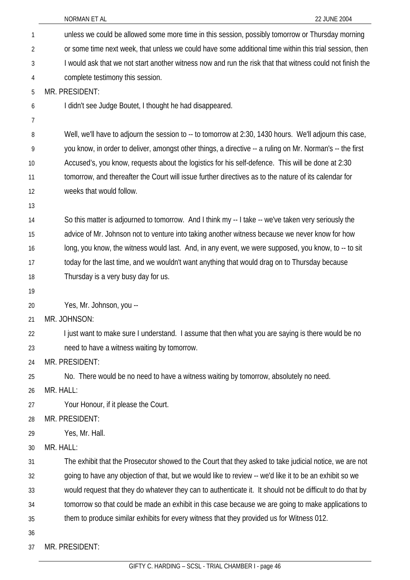| 1              | unless we could be allowed some more time in this session, possibly tomorrow or Thursday morning          |
|----------------|-----------------------------------------------------------------------------------------------------------|
| $\overline{2}$ | or some time next week, that unless we could have some additional time within this trial session, then    |
| 3              | I would ask that we not start another witness now and run the risk that that witness could not finish the |
| 4              | complete testimony this session.                                                                          |
| 5              | MR. PRESIDENT:                                                                                            |
| 6              | I didn't see Judge Boutet, I thought he had disappeared.                                                  |
| 7              |                                                                                                           |
| 8              | Well, we'll have to adjourn the session to -- to tomorrow at 2:30, 1430 hours. We'll adjourn this case,   |
| 9              | you know, in order to deliver, amongst other things, a directive -- a ruling on Mr. Norman's -- the first |
| 10             | Accused's, you know, requests about the logistics for his self-defence. This will be done at 2:30         |
| 11             | tomorrow, and thereafter the Court will issue further directives as to the nature of its calendar for     |
| 12             | weeks that would follow.                                                                                  |
| 13             |                                                                                                           |
| 14             | So this matter is adjourned to tomorrow. And I think my -- I take -- we've taken very seriously the       |
| 15             | advice of Mr. Johnson not to venture into taking another witness because we never know for how            |
| 16             | long, you know, the witness would last. And, in any event, we were supposed, you know, to -- to sit       |
| 17             | today for the last time, and we wouldn't want anything that would drag on to Thursday because             |
| 18             | Thursday is a very busy day for us.                                                                       |
| 19             |                                                                                                           |
| 20             | Yes, Mr. Johnson, you --                                                                                  |
| 21             | MR. JOHNSON:                                                                                              |
| 22             | I just want to make sure I understand. I assume that then what you are saying is there would be no        |
| 23             | need to have a witness waiting by tomorrow.                                                               |
| 24             | MR. PRESIDENT:                                                                                            |
| 25             | No. There would be no need to have a witness waiting by tomorrow, absolutely no need.                     |
| 26             | MR. HALL:                                                                                                 |
| 27             | Your Honour, if it please the Court.                                                                      |
| 28             | MR. PRESIDENT:                                                                                            |
| 29             | Yes, Mr. Hall.                                                                                            |
| 30             | MR. HALL:                                                                                                 |
| 31             | The exhibit that the Prosecutor showed to the Court that they asked to take judicial notice, we are not   |
| 32             | going to have any objection of that, but we would like to review -- we'd like it to be an exhibit so we   |
| 33             | would request that they do whatever they can to authenticate it. It should not be difficult to do that by |
| 34             | tomorrow so that could be made an exhibit in this case because we are going to make applications to       |
| 35             | them to produce similar exhibits for every witness that they provided us for Witness 012.                 |
| 36             |                                                                                                           |
| 37             | MR. PRESIDENT:                                                                                            |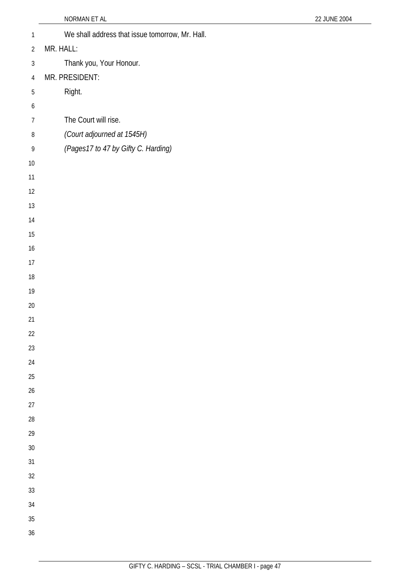| $\mathbf{1}$   | We shall address that issue tomorrow, Mr. Hall. |
|----------------|-------------------------------------------------|
| $\overline{2}$ | MR. HALL:                                       |
| $\sqrt{3}$     | Thank you, Your Honour.                         |
| $\overline{4}$ | MR. PRESIDENT:                                  |
| $\sqrt{5}$     | Right.                                          |
| 6              |                                                 |
| $\overline{7}$ | The Court will rise.                            |
| $\, 8$         | (Court adjourned at 1545H)                      |
| 9              | (Pages17 to 47 by Gifty C. Harding)             |
| 10             |                                                 |
| 11             |                                                 |
| 12             |                                                 |
| 13             |                                                 |
| 14             |                                                 |
| $15\,$         |                                                 |
| 16             |                                                 |
| 17             |                                                 |
| 18             |                                                 |
| 19             |                                                 |
| 20             |                                                 |
| 21             |                                                 |
| 22             |                                                 |
| 23             |                                                 |
| 24             |                                                 |
| 25<br>26       |                                                 |
| 27             |                                                 |
| 28             |                                                 |
| 29             |                                                 |
| 30             |                                                 |
| 31             |                                                 |
| 32             |                                                 |
| 33             |                                                 |
| 34             |                                                 |
| 35             |                                                 |
| 36             |                                                 |
|                |                                                 |

NORMAN ET AL 22 JUNE 2004